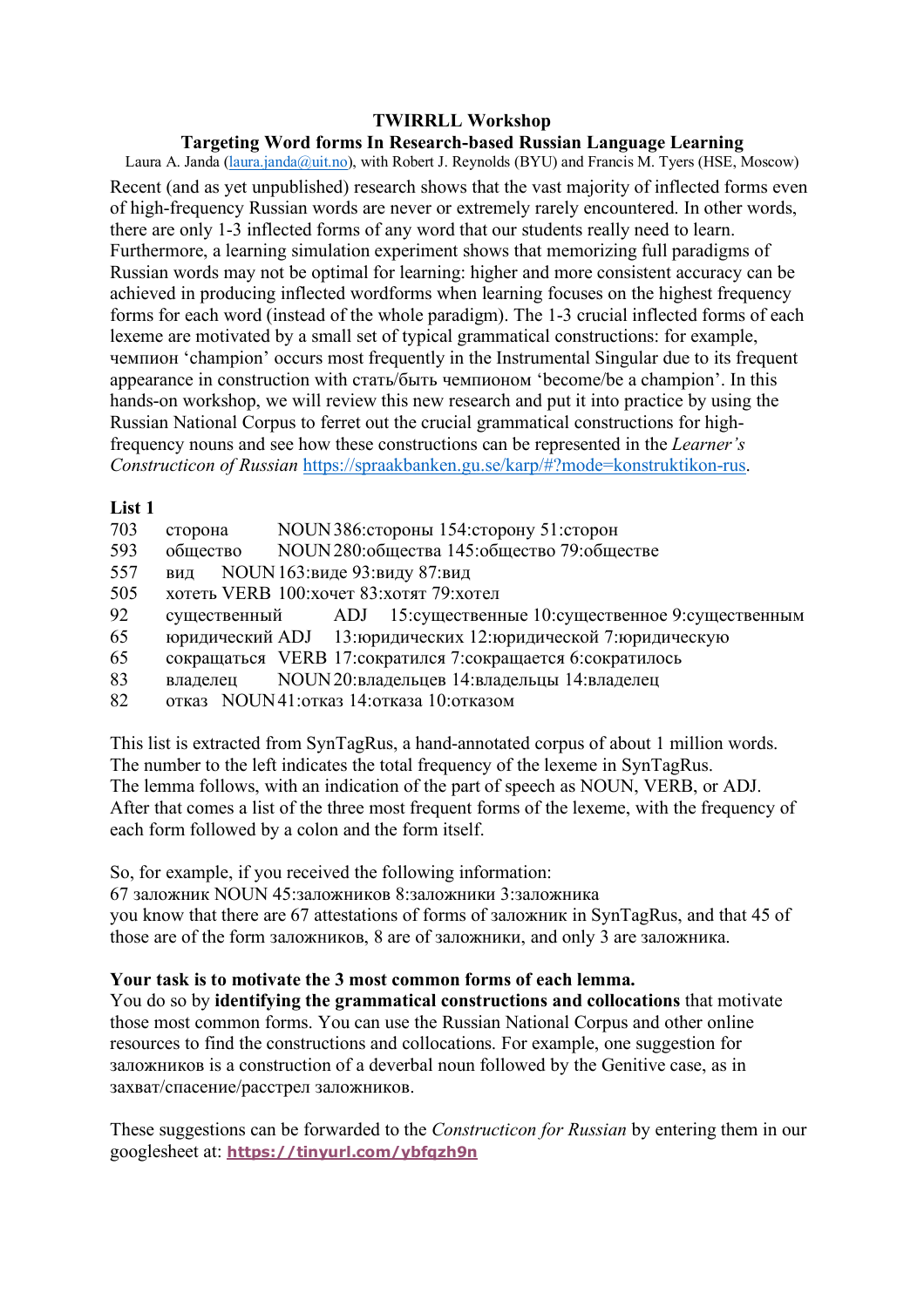## Targeting Word forms In Research-based Russian Language Learning

Laura A. Janda (laura.janda@uit.no), with Robert J. Reynolds (BYU) and Francis M. Tyers (HSE, Moscow) Recent (and as vet unpublished) research shows that the vast majority of inflected forms even of high-frequency Russian words are never or extremely rarely encountered. In other words, there are only 1-3 inflected forms of any word that our students really need to learn. Furthermore, a learning simulation experiment shows that memorizing full paradigms of Russian words may not be optimal for learning: higher and more consistent accuracy can be achieved in producing inflected wordforms when learning focuses on the highest frequency forms for each word (instead of the whole paradigm). The 1-3 crucial inflected forms of each lexeme are motivated by a small set of typical grammatical constructions: for example, чемпион 'champion' occurs most frequently in the Instrumental Singular due to its frequent appearance in construction with стать/быть чемпионом 'become/be a champion'. In this hands-on workshop, we will review this new research and put it into practice by using the Russian National Corpus to ferret out the crucial grammatical constructions for highfrequency nouns and see how these constructions can be represented in the *Learner's* Constructicon of Russian https://spraakbanken.gu.se/karp/#?mode=konstruktikon-rus.

## List<sub>1</sub>

- 703 сторона NOUN 386: стороны 154: сторону 51: сторон
- 593 общество NOUN 280: общества 145: общество 79: обществе
- 557 NOUN 163:виле 93:вилу 87:вил вил
- 505 хотеть VERB 100: хочет 83: хотят 79: хотел
- 92 ADJ 15: существенные 10: существенное 9: существенным существенный
- 65 юридический ADJ 13:юридических 12:юридической 7:юридическую
- 65 сокращаться VERB 17:сократился 7:сокращается 6:сократилось
- 83 NOUN 20: владельцев 14: владельцы 14: владелец владелен
- 82 отказ NOUN41: отказ 14: отказа 10: отказом

This list is extracted from SynTagRus, a hand-annotated corpus of about 1 million words. The number to the left indicates the total frequency of the lexeme in SynTagRus. The lemma follows, with an indication of the part of speech as NOUN, VERB, or ADJ. After that comes a list of the three most frequent forms of the lexeme, with the frequency of each form followed by a colon and the form itself.

So, for example, if you received the following information:

67 заложник NOUN 45:заложников 8:заложники 3:заложника you know that there are 67 attestations of forms of заложник in SynTagRus, and that 45 of those are of the form заложников, 8 are of заложники, and only 3 are заложника.

# Your task is to motivate the 3 most common forms of each lemma.

You do so by **identifying the grammatical constructions and collocations** that motivate those most common forms. You can use the Russian National Corpus and other online resources to find the constructions and collocations. For example, one suggestion for заложников is a construction of a deverbal noun followed by the Genitive case, as in захват/спасение/расстрел заложников.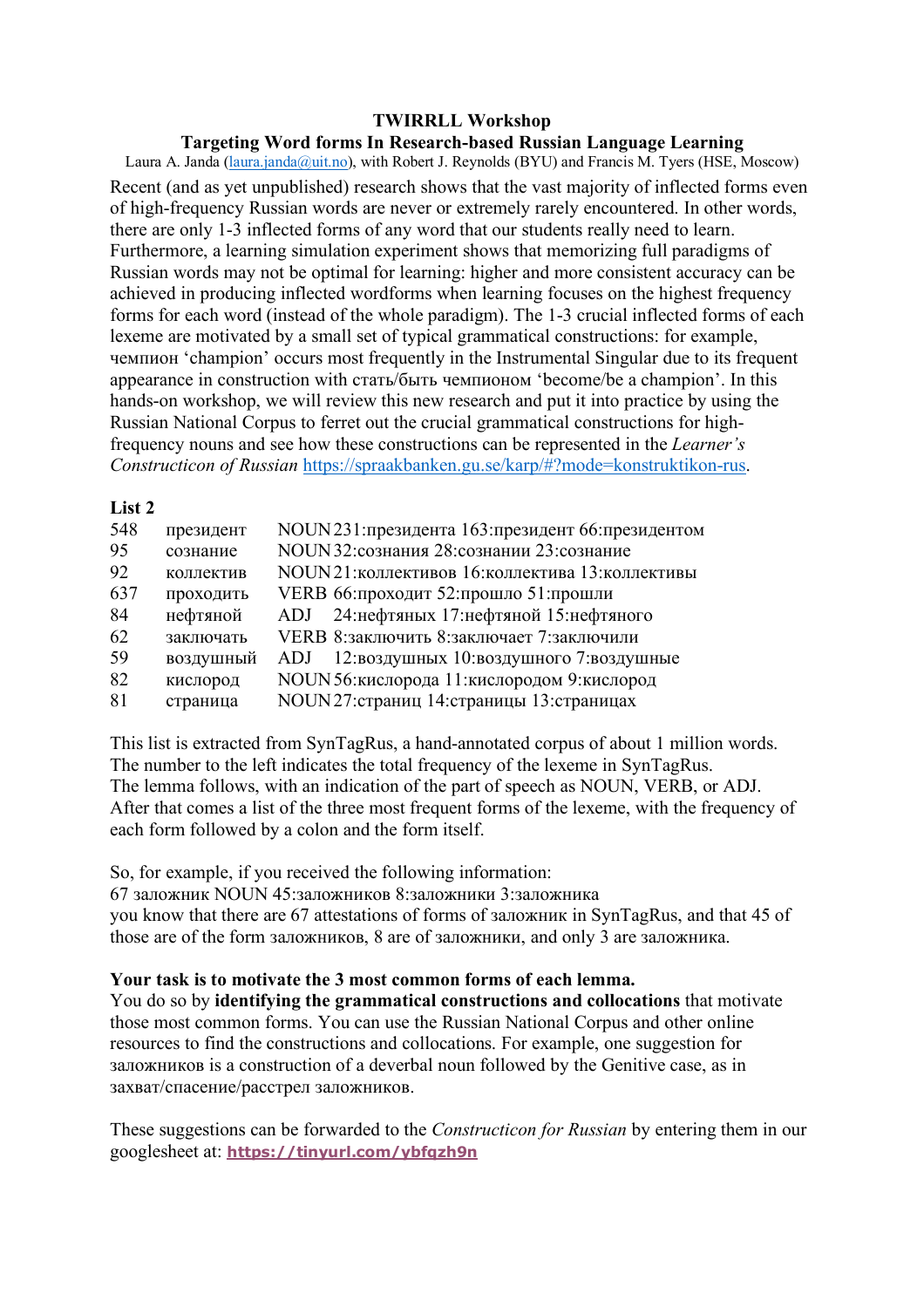#### **Targeting Word forms In Research-based Russian Language Learning**

Laura A. Janda (laura.janda@uit.no), with Robert J. Reynolds (BYU) and Francis M. Tyers (HSE, Moscow) Recent (and as yet unpublished) research shows that the vast majority of inflected forms even of high-frequency Russian words are never or extremely rarely encountered. In other words, there are only 1-3 inflected forms of any word that our students really need to learn. Furthermore, a learning simulation experiment shows that memorizing full paradigms of Russian words may not be optimal for learning: higher and more consistent accuracy can be achieved in producing inflected wordforms when learning focuses on the highest frequency forms for each word (instead of the whole paradigm). The 1-3 crucial inflected forms of each lexeme are motivated by a small set of typical grammatical constructions: for example, чемпион 'champion' occurs most frequently in the Instrumental Singular due to its frequent appearance in construction with стать/быть чемпионом 'become/be a champion'. In this hands-on workshop, we will review this new research and put it into practice by using the Russian National Corpus to ferret out the crucial grammatical constructions for highfrequency nouns and see how these constructions can be represented in the *Learner's Constructicon of Russian* https://spraakbanken.gu.se/karp/#?mode=konstruktikon-rus.

### **List 2**

| 548 | президент | NOUN231: президента 163: президент 66: президентом |
|-----|-----------|----------------------------------------------------|
| 95  | сознание  | NOUN 32:сознания 28:сознании 23:сознание           |
| 92  | коллектив | NOUN21: коллективов 16: коллектива 13: коллективы  |
| 637 | проходить | VERB 66: проходит 52: прошло 51: прошли            |
| 84  | нефтяной  | ADJ 24: нефтяных 17: нефтяной 15: нефтяного        |
| 62  | заключать | VERB 8: заключить 8: заключает 7: заключили        |
| 59  | воздушный | ADJ 12: воздушных 10: воздушного 7: воздушные      |
| 82  | кислород  | NOUN 56: кислорода 11: кислородом 9: кислород      |
| 81  | страница  | NOUN27: страниц 14: страницы 13: страницах         |

This list is extracted from SynTagRus, a hand-annotated corpus of about 1 million words. The number to the left indicates the total frequency of the lexeme in SynTagRus. The lemma follows, with an indication of the part of speech as NOUN, VERB, or ADJ. After that comes a list of the three most frequent forms of the lexeme, with the frequency of each form followed by a colon and the form itself.

So, for example, if you received the following information:

67 заложник NOUN 45:заложников 8:заложники 3:заложника you know that there are 67 attestations of forms of заложник in SynTagRus, and that 45 of those are of the form заложников, 8 are of заложники, and only 3 are заложника.

#### **Your task is to motivate the 3 most common forms of each lemma.**

You do so by **identifying the grammatical constructions and collocations** that motivate those most common forms. You can use the Russian National Corpus and other online resources to find the constructions and collocations. For example, one suggestion for заложников is a construction of a deverbal noun followed by the Genitive case, as in захват/спасение/расстрел заложников.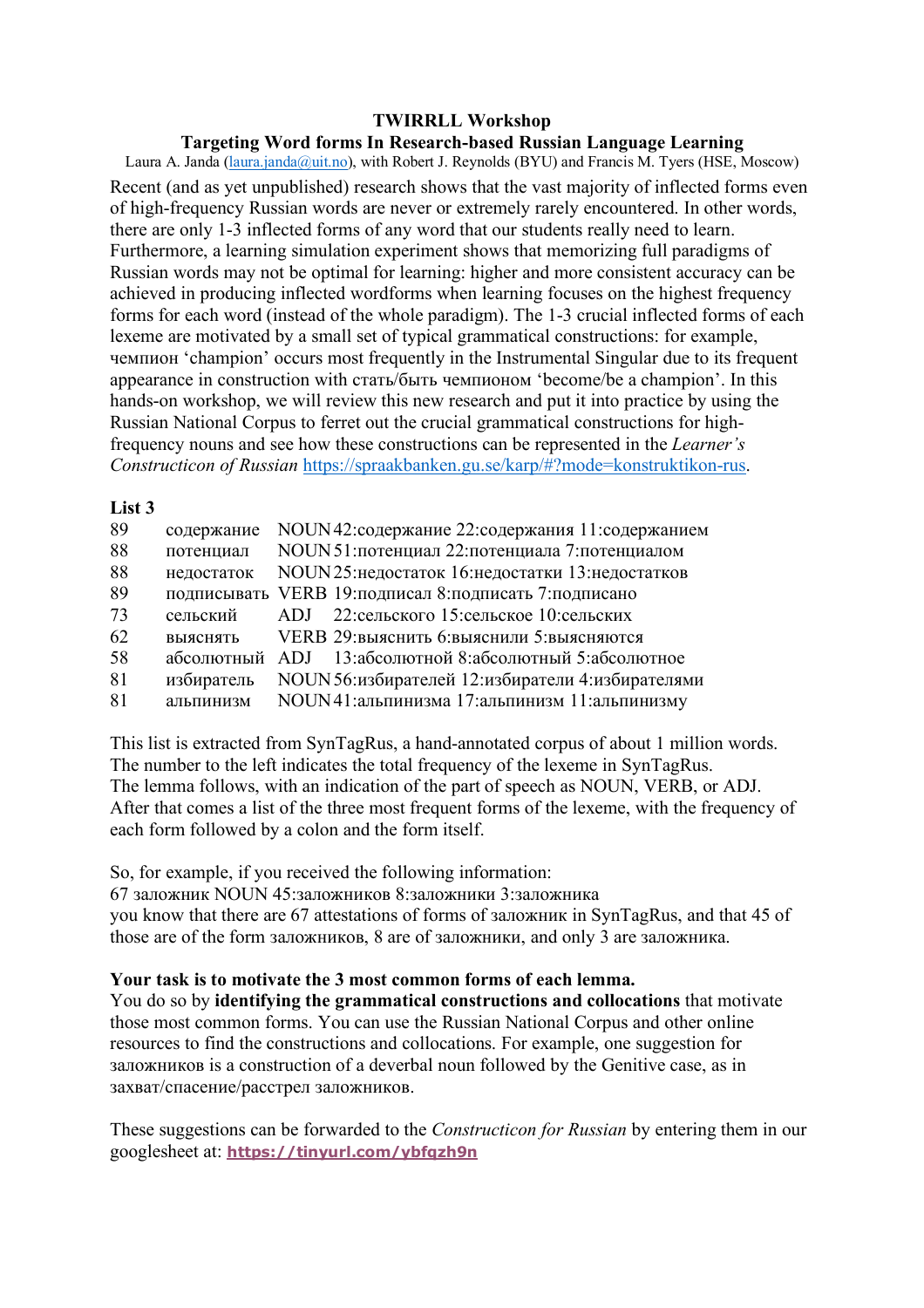## **Targeting Word forms In Research-based Russian Language Learning**

Laura A. Janda (laura.janda@uit.no), with Robert J. Reynolds (BYU) and Francis M. Tyers (HSE, Moscow) Recent (and as yet unpublished) research shows that the vast majority of inflected forms even of high-frequency Russian words are never or extremely rarely encountered. In other words, there are only 1-3 inflected forms of any word that our students really need to learn. Furthermore, a learning simulation experiment shows that memorizing full paradigms of Russian words may not be optimal for learning: higher and more consistent accuracy can be achieved in producing inflected wordforms when learning focuses on the highest frequency forms for each word (instead of the whole paradigm). The 1-3 crucial inflected forms of each lexeme are motivated by a small set of typical grammatical constructions: for example, чемпион 'champion' occurs most frequently in the Instrumental Singular due to its frequent appearance in construction with стать/быть чемпионом 'become/be a champion'. In this hands-on workshop, we will review this new research and put it into practice by using the Russian National Corpus to ferret out the crucial grammatical constructions for highfrequency nouns and see how these constructions can be represented in the *Learner's Constructicon of Russian* https://spraakbanken.gu.se/karp/#?mode=konstruktikon-rus.

### **List 3**

| 89 | содержание | NOUN 42: содержание 22: содержания 11: содержанием      |
|----|------------|---------------------------------------------------------|
| 88 | потенциал  | NOUN 51: потенциал 22: потенциала 7: потенциалом        |
| 88 | недостаток | NOUN25: недостаток 16: недостатки 13: недостатков       |
| 89 |            | подписывать VERB 19: подписал 8: подписать 7: подписано |
| 73 | сельский   | ADJ 22: сельского 15: сельское 10: сельских             |
| 62 | выяснять   | VERB 29: выяснить 6: выяснили 5: выясняются             |
| 58 |            | абсолютный ADJ 13:абсолютной 8:абсолютный 5:абсолютное  |
| 81 | избиратель | NOUN 56: избирателей 12: избиратели 4: избирателями     |
| 81 | альпинизм  | NOUN41: альпинизма 17: альпинизм 11: альпинизму         |

This list is extracted from SynTagRus, a hand-annotated corpus of about 1 million words. The number to the left indicates the total frequency of the lexeme in SynTagRus. The lemma follows, with an indication of the part of speech as NOUN, VERB, or ADJ. After that comes a list of the three most frequent forms of the lexeme, with the frequency of each form followed by a colon and the form itself.

So, for example, if you received the following information:

67 заложник NOUN 45:заложников 8:заложники 3:заложника you know that there are 67 attestations of forms of заложник in SynTagRus, and that 45 of those are of the form заложников, 8 are of заложники, and only 3 are заложника.

# **Your task is to motivate the 3 most common forms of each lemma.**

You do so by **identifying the grammatical constructions and collocations** that motivate those most common forms. You can use the Russian National Corpus and other online resources to find the constructions and collocations. For example, one suggestion for заложников is a construction of a deverbal noun followed by the Genitive case, as in захват/спасение/расстрел заложников.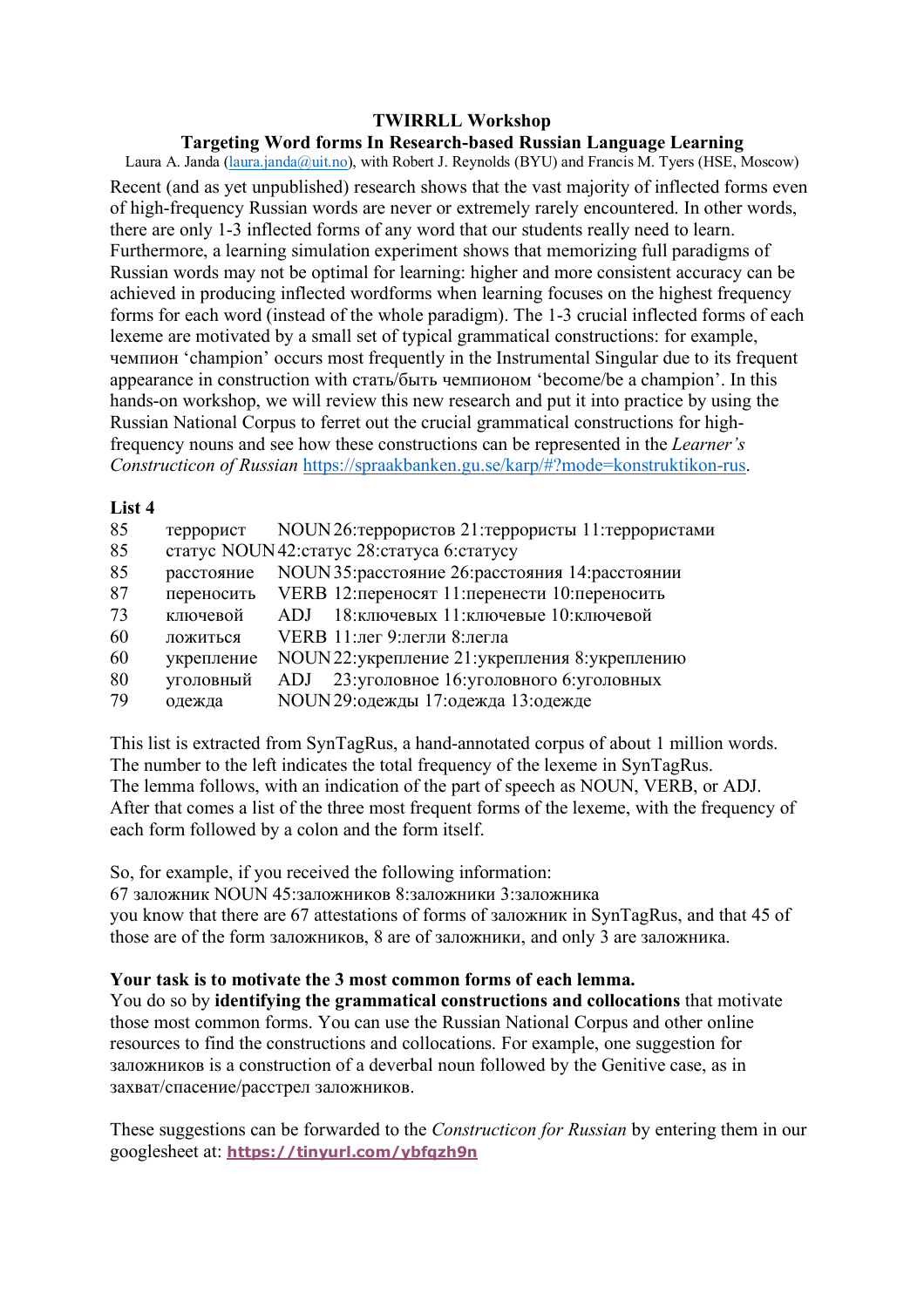## **Targeting Word forms In Research-based Russian Language Learning**

Laura A. Janda (laura.janda@uit.no), with Robert J. Reynolds (BYU) and Francis M. Tyers (HSE, Moscow) Recent (and as yet unpublished) research shows that the vast majority of inflected forms even of high-frequency Russian words are never or extremely rarely encountered. In other words, there are only 1-3 inflected forms of any word that our students really need to learn. Furthermore, a learning simulation experiment shows that memorizing full paradigms of Russian words may not be optimal for learning: higher and more consistent accuracy can be achieved in producing inflected wordforms when learning focuses on the highest frequency forms for each word (instead of the whole paradigm). The 1-3 crucial inflected forms of each lexeme are motivated by a small set of typical grammatical constructions: for example, чемпион 'champion' occurs most frequently in the Instrumental Singular due to its frequent appearance in construction with стать/быть чемпионом 'become/be a champion'. In this hands-on workshop, we will review this new research and put it into practice by using the Russian National Corpus to ferret out the crucial grammatical constructions for highfrequency nouns and see how these constructions can be represented in the *Learner's Constructicon of Russian* https://spraakbanken.gu.se/karp/#?mode=konstruktikon-rus.

#### **List 4**

| 85 | террорист  | NOUN 26: террористов 21: террористы 11: террористами |
|----|------------|------------------------------------------------------|
| 85 |            | статус NOUN42: статус 28: статуса 6: статусу         |
| 85 | расстояние | NOUN 35: расстояние 26: расстояния 14: расстоянии    |
| 87 | переносить | VERB 12: переносят 11: перенести 10: переносить      |
| 73 | ключевой   | 18: ключевых 11: ключевые 10: ключевой<br>ADJ.       |
| 60 | ложиться   | VERB 11: лег 9: легли 8: легла                       |
| 60 | укрепление | NOUN 22: укрепление 21: укрепления 8: укреплению     |
| 80 | уголовный  | 23: уголовное 16: уголовного 6: уголовных<br>ADJ     |
| 79 | одежда     | NOUN 29: одежды 17: одежда 13: одежде                |

This list is extracted from SynTagRus, a hand-annotated corpus of about 1 million words. The number to the left indicates the total frequency of the lexeme in SynTagRus. The lemma follows, with an indication of the part of speech as NOUN, VERB, or ADJ. After that comes a list of the three most frequent forms of the lexeme, with the frequency of each form followed by a colon and the form itself.

So, for example, if you received the following information:

67 заложник NOUN 45:заложников 8:заложники 3:заложника you know that there are 67 attestations of forms of заложник in SynTagRus, and that 45 of those are of the form заложников, 8 are of заложники, and only 3 are заложника.

# **Your task is to motivate the 3 most common forms of each lemma.**

You do so by **identifying the grammatical constructions and collocations** that motivate those most common forms. You can use the Russian National Corpus and other online resources to find the constructions and collocations. For example, one suggestion for заложников is a construction of a deverbal noun followed by the Genitive case, as in захват/спасение/расстрел заложников.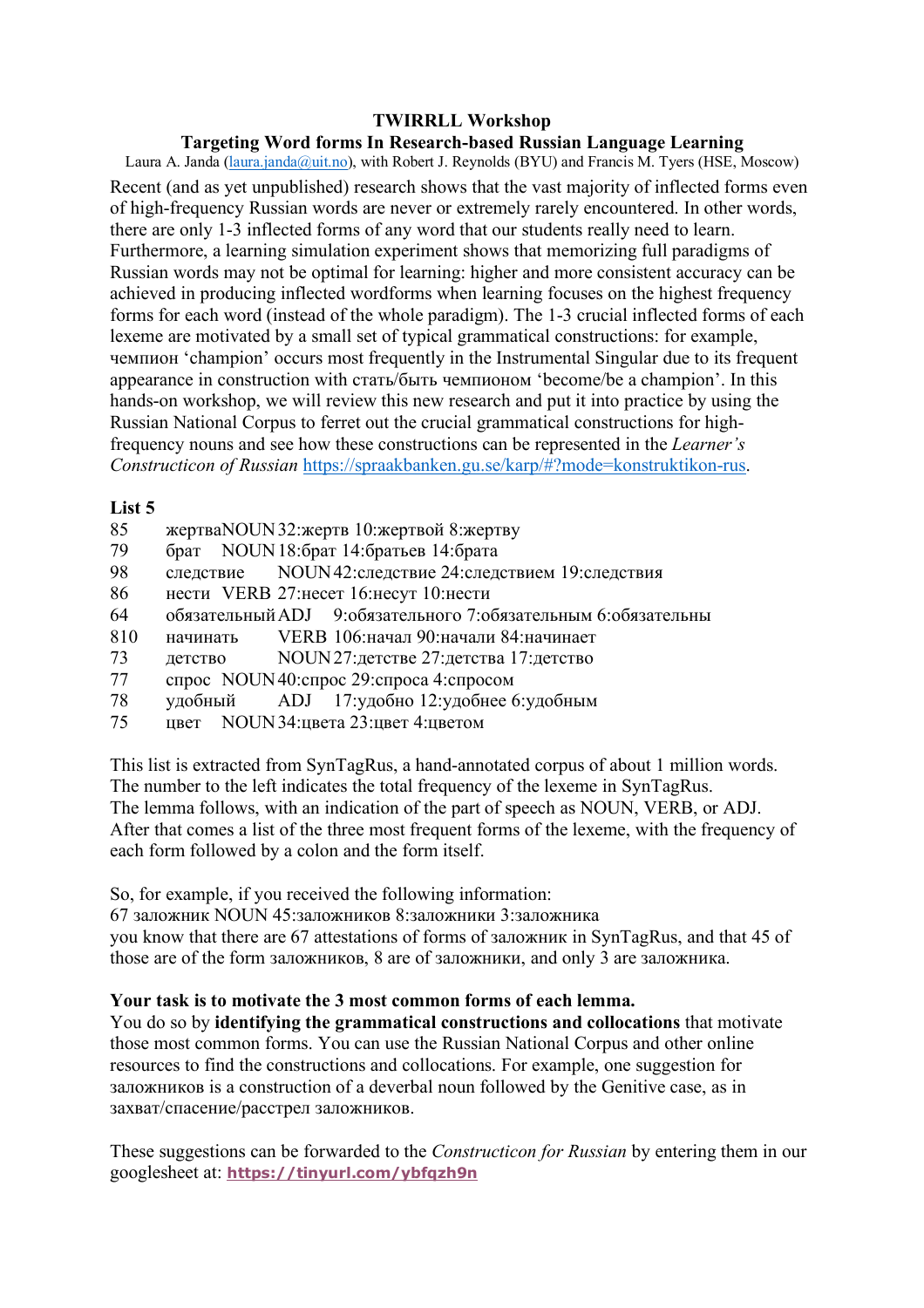# Targeting Word forms In Research-based Russian Language Learning

Laura A. Janda (laura.janda@uit.no), with Robert J. Reynolds (BYU) and Francis M. Tyers (HSE, Moscow) Recent (and as vet unpublished) research shows that the vast majority of inflected forms even of high-frequency Russian words are never or extremely rarely encountered. In other words, there are only 1-3 inflected forms of any word that our students really need to learn. Furthermore, a learning simulation experiment shows that memorizing full paradigms of Russian words may not be optimal for learning: higher and more consistent accuracy can be achieved in producing inflected wordforms when learning focuses on the highest frequency forms for each word (instead of the whole paradigm). The 1-3 crucial inflected forms of each lexeme are motivated by a small set of typical grammatical constructions: for example, чемпион 'champion' occurs most frequently in the Instrumental Singular due to its frequent appearance in construction with стать/быть чемпионом 'become/be a champion'. In this hands-on workshop, we will review this new research and put it into practice by using the Russian National Corpus to ferret out the crucial grammatical constructions for highfrequency nouns and see how these constructions can be represented in the *Learner's* Constructicon of Russian https://spraakbanken.gu.se/karp/#?mode=konstruktikon-rus.

## List 5

- 85 жертваNOUN 32: жертв 10: жертвой 8: жертву
- 79 брат NOUN 18:брат 14:братьев 14:брата
- 98 NOUN42: следствие 24: следствием 19: следствия слелствие
- 86 нести VERB 27: несет 16: несут 10: нести
- 64 обязательный ADJ 9:обязательного 7:обязательным 6:обязательны
- 810 VERB 106: начал 90: начали 84: начинает начинать
- NOUN27: летстве 27: летства 17: летство 73 летство
- 77 спрос NOUN40: спрос 29: спроса 4: спросом
- 17: удобно 12: удобнее 6: удобным 78 удобный  $ADJ$
- 75 цвет NOUN 34: цвета 23: цвет 4: цветом

This list is extracted from SynTagRus, a hand-annotated corpus of about 1 million words. The number to the left indicates the total frequency of the lexeme in SynTagRus. The lemma follows, with an indication of the part of speech as NOUN, VERB, or ADJ. After that comes a list of the three most frequent forms of the lexeme, with the frequency of each form followed by a colon and the form itself.

So, for example, if you received the following information:

67 заложник NOUN 45:заложников 8:заложники 3:заложника

you know that there are 67 attestations of forms of заложник in SynTagRus, and that 45 of those are of the form заложников, 8 are of заложники, and only 3 are заложника.

# Your task is to motivate the 3 most common forms of each lemma.

You do so by **identifying the grammatical constructions and collocations** that motivate those most common forms. You can use the Russian National Corpus and other online resources to find the constructions and collocations. For example, one suggestion for заложников is a construction of a deverbal noun followed by the Genitive case, as in захват/спасение/расстрел заложников.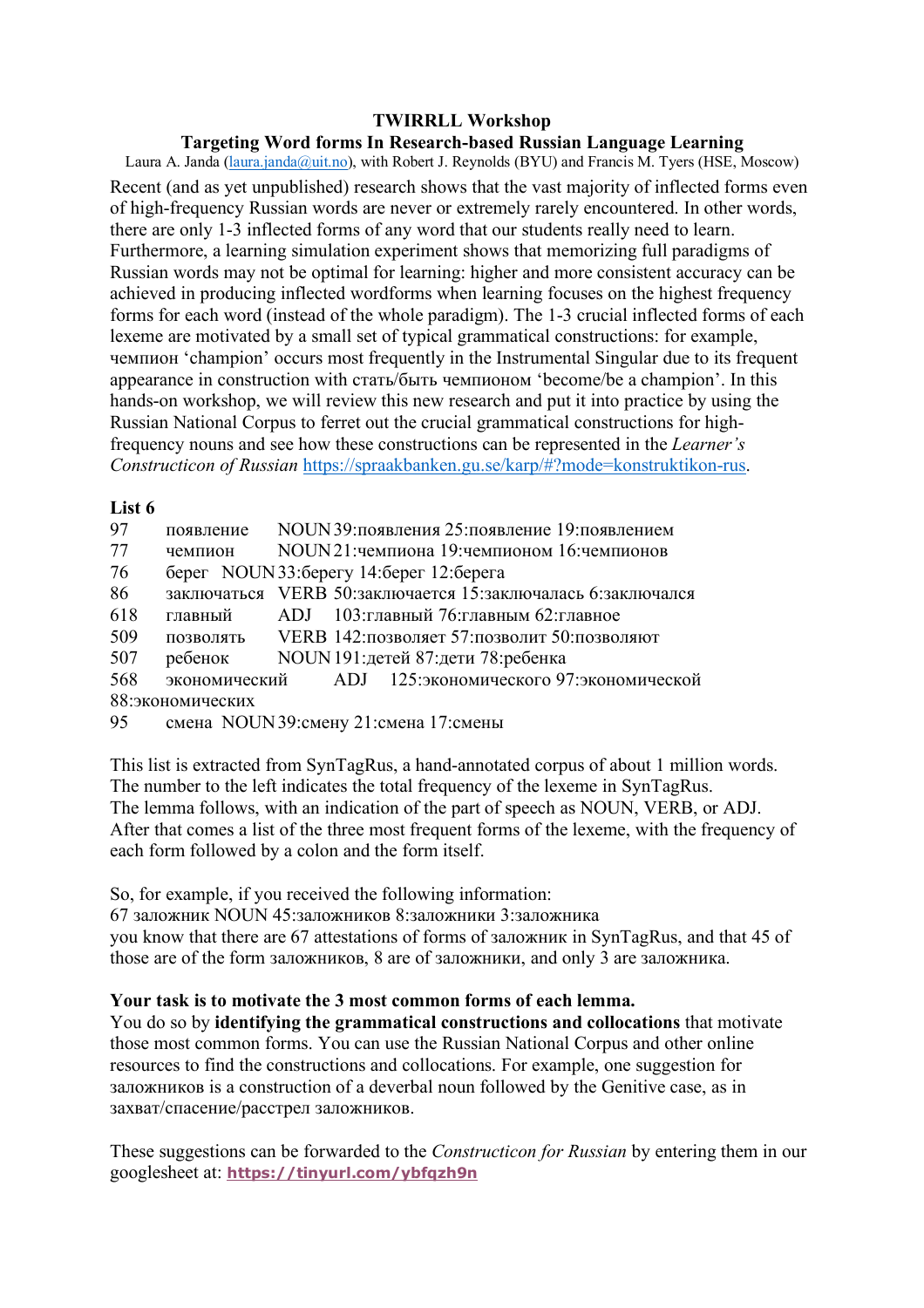## **Targeting Word forms In Research-based Russian Language Learning**

Laura A. Janda (laura.janda@uit.no), with Robert J. Reynolds (BYU) and Francis M. Tyers (HSE, Moscow) Recent (and as yet unpublished) research shows that the vast majority of inflected forms even of high-frequency Russian words are never or extremely rarely encountered. In other words, there are only 1-3 inflected forms of any word that our students really need to learn. Furthermore, a learning simulation experiment shows that memorizing full paradigms of Russian words may not be optimal for learning: higher and more consistent accuracy can be achieved in producing inflected wordforms when learning focuses on the highest frequency forms for each word (instead of the whole paradigm). The 1-3 crucial inflected forms of each lexeme are motivated by a small set of typical grammatical constructions: for example, чемпион 'champion' occurs most frequently in the Instrumental Singular due to its frequent appearance in construction with стать/быть чемпионом 'become/be a champion'. In this hands-on workshop, we will review this new research and put it into practice by using the Russian National Corpus to ferret out the crucial grammatical constructions for highfrequency nouns and see how these constructions can be represented in the *Learner's Constructicon of Russian* https://spraakbanken.gu.se/karp/#?mode=konstruktikon-rus.

#### **List 6**

| 97               | появление | NOUN 39: появления 25: появление 19: появлением             |  |  |
|------------------|-----------|-------------------------------------------------------------|--|--|
| 77               | чемпион   | NOUN21: чемпиона 19: чемпионом 16: чемпионов                |  |  |
| 76               |           | берег NOUN 33: берегу 14: берег 12: берега                  |  |  |
| 86               |           | заключаться VERB 50:заключается 15:заключалась 6:заключался |  |  |
| 618              | главный   | ADJ 103: главный 76: главным 62: главное                    |  |  |
| 509              | ПОЗВОЛЯТЬ | VERB 142: позволяет 57: позволит 50: позволяют              |  |  |
| 507              |           | ребенок NOUN 191: детей 87: дети 78: ребенка                |  |  |
| 568              |           | экономический ADJ 125:экономического 97:экономической       |  |  |
| 88:экономических |           |                                                             |  |  |
| 95               |           | смена NOUN 39: смену 21: смена 17: смены                    |  |  |

This list is extracted from SynTagRus, a hand-annotated corpus of about 1 million words. The number to the left indicates the total frequency of the lexeme in SynTagRus. The lemma follows, with an indication of the part of speech as NOUN, VERB, or ADJ. After that comes a list of the three most frequent forms of the lexeme, with the frequency of each form followed by a colon and the form itself.

So, for example, if you received the following information:

67 заложник NOUN 45:заложников 8:заложники 3:заложника

you know that there are 67 attestations of forms of заложник in SynTagRus, and that 45 of those are of the form заложников, 8 are of заложники, and only 3 are заложника.

# **Your task is to motivate the 3 most common forms of each lemma.**

You do so by **identifying the grammatical constructions and collocations** that motivate those most common forms. You can use the Russian National Corpus and other online resources to find the constructions and collocations. For example, one suggestion for заложников is a construction of a deverbal noun followed by the Genitive case, as in захват/спасение/расстрел заложников.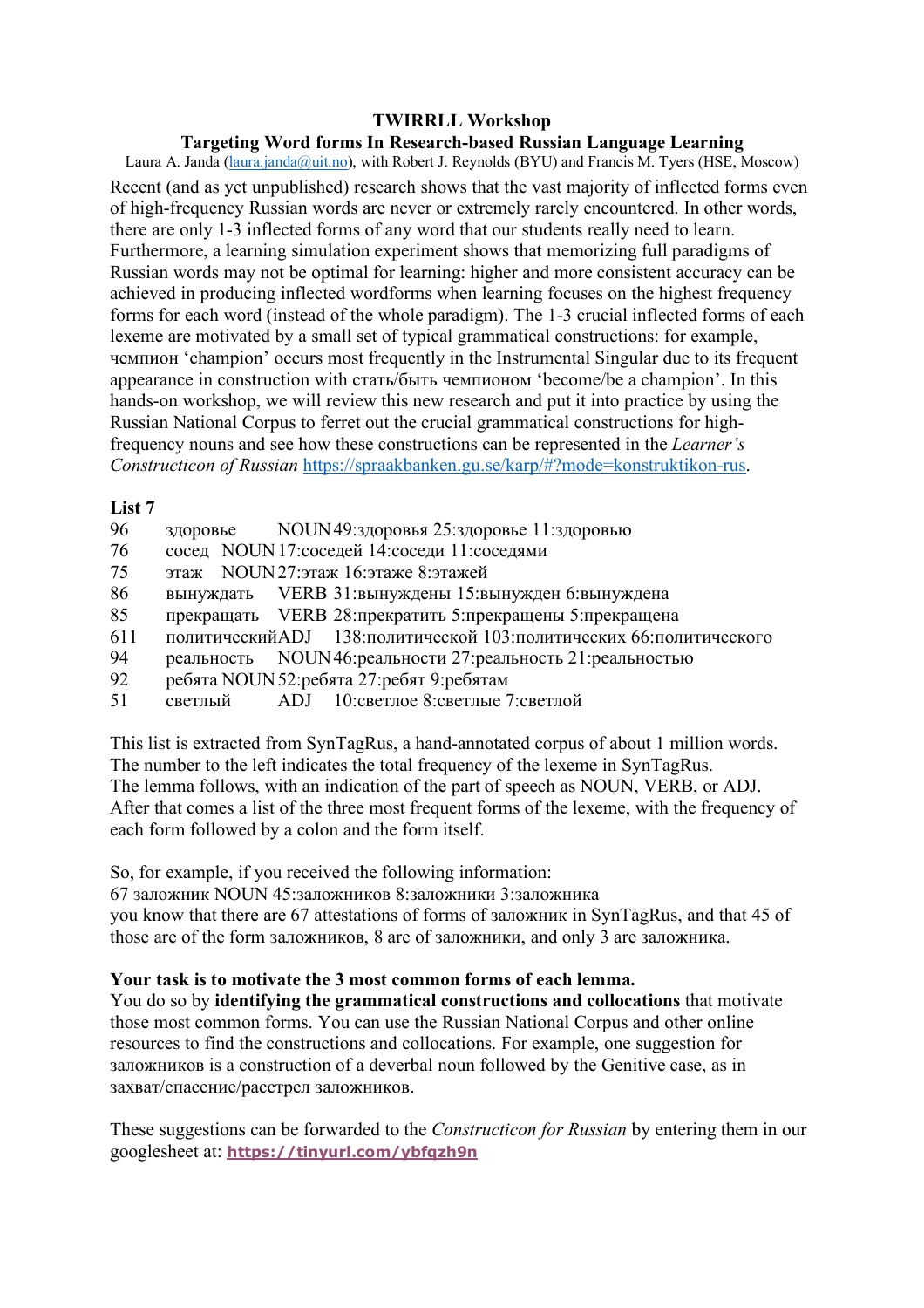## **Targeting Word forms In Research-based Russian Language Learning**

Laura A. Janda (laura.janda@uit.no), with Robert J. Reynolds (BYU) and Francis M. Tyers (HSE, Moscow) Recent (and as yet unpublished) research shows that the vast majority of inflected forms even of high-frequency Russian words are never or extremely rarely encountered. In other words, there are only 1-3 inflected forms of any word that our students really need to learn. Furthermore, a learning simulation experiment shows that memorizing full paradigms of Russian words may not be optimal for learning: higher and more consistent accuracy can be achieved in producing inflected wordforms when learning focuses on the highest frequency forms for each word (instead of the whole paradigm). The 1-3 crucial inflected forms of each lexeme are motivated by a small set of typical grammatical constructions: for example, чемпион 'champion' occurs most frequently in the Instrumental Singular due to its frequent appearance in construction with стать/быть чемпионом 'become/be a champion'. In this hands-on workshop, we will review this new research and put it into practice by using the Russian National Corpus to ferret out the crucial grammatical constructions for highfrequency nouns and see how these constructions can be represented in the *Learner's Constructicon of Russian* https://spraakbanken.gu.se/karp/#?mode=konstruktikon-rus.

## **List 7**

- 96 здоровье NOUN49:здоровья 25:здоровье 11:здоровью
- 76 сосед NOUN17:соседей 14:соседи 11:соседями
- 75 этаж NOUN27:этаж 16:этаже 8:этажей
- 86 вынуждать VERB 31:вынуждены 15:вынужден 6:вынуждена
- 85 прекращать VERB 28:прекратить 5:прекращены 5:прекращена
- 611 политическийADJ 138:политической 103:политических 66:политического
- 94 реальность NOUN46:реальности 27:реальность 21:реальностью
- 92 ребята NOUN52:ребята 27:ребят 9:ребятам
- 51 светлый ADJ 10:светлое 8:светлые 7:светлой

This list is extracted from SynTagRus, a hand-annotated corpus of about 1 million words. The number to the left indicates the total frequency of the lexeme in SynTagRus. The lemma follows, with an indication of the part of speech as NOUN, VERB, or ADJ. After that comes a list of the three most frequent forms of the lexeme, with the frequency of each form followed by a colon and the form itself.

So, for example, if you received the following information:

67 заложник NOUN 45:заложников 8:заложники 3:заложника you know that there are 67 attestations of forms of заложник in SynTagRus, and that 45 of those are of the form заложников, 8 are of заложники, and only 3 are заложника.

# **Your task is to motivate the 3 most common forms of each lemma.**

You do so by **identifying the grammatical constructions and collocations** that motivate those most common forms. You can use the Russian National Corpus and other online resources to find the constructions and collocations. For example, one suggestion for заложников is a construction of a deverbal noun followed by the Genitive case, as in захват/спасение/расстрел заложников.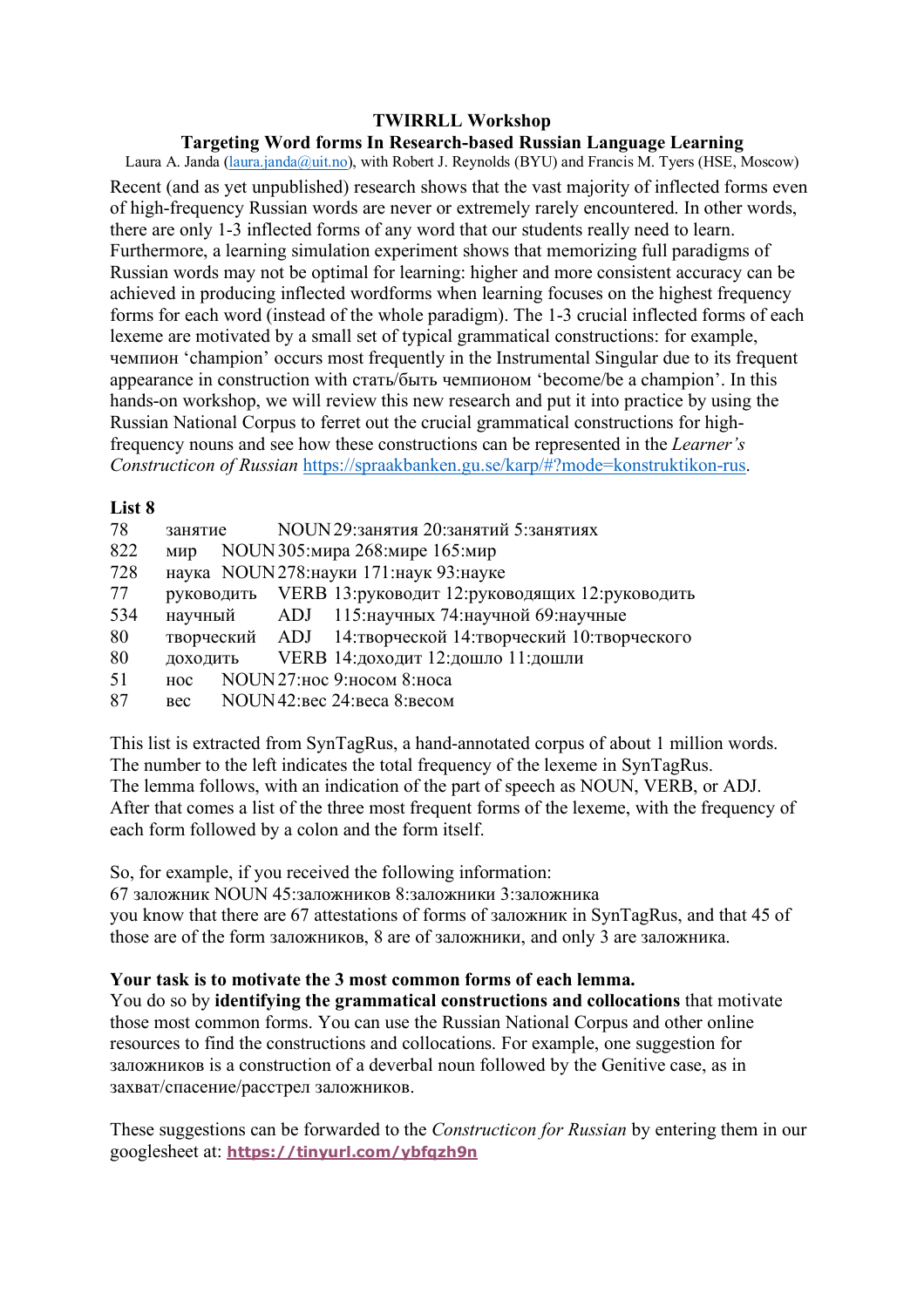## **Targeting Word forms In Research-based Russian Language Learning**

Laura A. Janda (laura.janda@uit.no), with Robert J. Reynolds (BYU) and Francis M. Tyers (HSE, Moscow) Recent (and as yet unpublished) research shows that the vast majority of inflected forms even of high-frequency Russian words are never or extremely rarely encountered. In other words, there are only 1-3 inflected forms of any word that our students really need to learn. Furthermore, a learning simulation experiment shows that memorizing full paradigms of Russian words may not be optimal for learning: higher and more consistent accuracy can be achieved in producing inflected wordforms when learning focuses on the highest frequency forms for each word (instead of the whole paradigm). The 1-3 crucial inflected forms of each lexeme are motivated by a small set of typical grammatical constructions: for example, чемпион 'champion' occurs most frequently in the Instrumental Singular due to its frequent appearance in construction with стать/быть чемпионом 'become/be a champion'. In this hands-on workshop, we will review this new research and put it into practice by using the Russian National Corpus to ferret out the crucial grammatical constructions for highfrequency nouns and see how these constructions can be represented in the *Learner's Constructicon of Russian* https://spraakbanken.gu.se/karp/#?mode=konstruktikon-rus.

#### **List 8**

| 78  | занятие    |  | NOUN 29: занятия 20: занятий 5: занятиях                     |
|-----|------------|--|--------------------------------------------------------------|
| 822 | мир        |  | NOUN 305: мира 268: мире 165: мир                            |
| 728 |            |  | наука NOUN278: науки 171: наук 93: науке                     |
| 77  |            |  | руководить VERB 13:руководит 12:руководящих 12:руководить    |
| 534 |            |  | научный ADJ 115: научных 74: научной 69: научные             |
| 80  |            |  | творческий ADJ 14: творческой 14: творческий 10: творческого |
| 80  | доходить   |  | VERB 14: доходит 12: дошло 11: дошли                         |
| 51  | <b>HOC</b> |  | NOUN 27:ное 9:носом 8:носа                                   |
| 87  | <b>Bec</b> |  | NOUN42: вес 24: веса 8: весом                                |

This list is extracted from SynTagRus, a hand-annotated corpus of about 1 million words. The number to the left indicates the total frequency of the lexeme in SynTagRus. The lemma follows, with an indication of the part of speech as NOUN, VERB, or ADJ. After that comes a list of the three most frequent forms of the lexeme, with the frequency of each form followed by a colon and the form itself.

So, for example, if you received the following information:

67 заложник NOUN 45:заложников 8:заложники 3:заложника you know that there are 67 attestations of forms of заложник in SynTagRus, and that 45 of those are of the form заложников, 8 are of заложники, and only 3 are заложника.

# **Your task is to motivate the 3 most common forms of each lemma.**

You do so by **identifying the grammatical constructions and collocations** that motivate those most common forms. You can use the Russian National Corpus and other online resources to find the constructions and collocations. For example, one suggestion for заложников is a construction of a deverbal noun followed by the Genitive case, as in захват/спасение/расстрел заложников.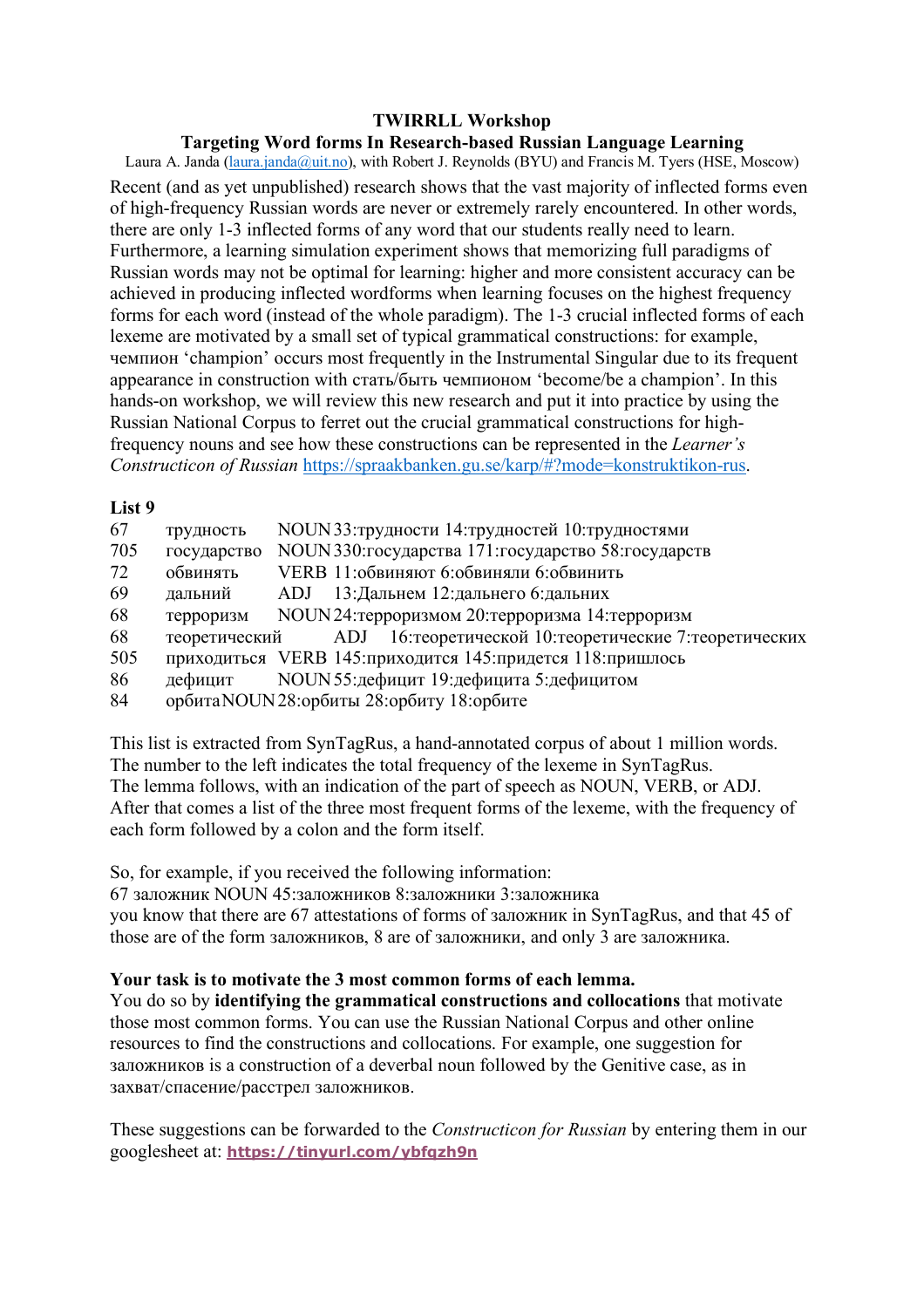## **Targeting Word forms In Research-based Russian Language Learning**

Laura A. Janda (laura.janda@uit.no), with Robert J. Reynolds (BYU) and Francis M. Tyers (HSE, Moscow) Recent (and as yet unpublished) research shows that the vast majority of inflected forms even of high-frequency Russian words are never or extremely rarely encountered. In other words, there are only 1-3 inflected forms of any word that our students really need to learn. Furthermore, a learning simulation experiment shows that memorizing full paradigms of Russian words may not be optimal for learning: higher and more consistent accuracy can be achieved in producing inflected wordforms when learning focuses on the highest frequency forms for each word (instead of the whole paradigm). The 1-3 crucial inflected forms of each lexeme are motivated by a small set of typical grammatical constructions: for example, чемпион 'champion' occurs most frequently in the Instrumental Singular due to its frequent appearance in construction with стать/быть чемпионом 'become/be a champion'. In this hands-on workshop, we will review this new research and put it into practice by using the Russian National Corpus to ferret out the crucial grammatical constructions for highfrequency nouns and see how these constructions can be represented in the *Learner's Constructicon of Russian* https://spraakbanken.gu.se/karp/#?mode=konstruktikon-rus.

#### **List 9**

| 67  | трудность     | NOUN 33: трудности 14: трудностей 10: трудностями            |
|-----|---------------|--------------------------------------------------------------|
| 705 | государство   | NOUN 330: государства 171: государство 58: государств        |
| 72  | обвинять      | VERB 11: обвиняют 6: обвиняли 6: обвинить                    |
| 69  | дальний       | ADJ 13: Дальнем 12: дальнего 6: дальних                      |
| 68  | терроризм     | NOUN24: терроризмом 20: терроризма 14: терроризм             |
| 68  | теоретический | ADJ 16: теоретической 10: теоретические 7: теоретических     |
| 505 |               | приходиться VERB 145: приходится 145: придется 118: пришлось |
| 86  | дефицит       | NOUN 55: дефицит 19: дефицита 5: дефицитом                   |
| 84  |               | орбита NOUN 28: орбиты 28: орбиту 18: орбите                 |

This list is extracted from SynTagRus, a hand-annotated corpus of about 1 million words. The number to the left indicates the total frequency of the lexeme in SynTagRus. The lemma follows, with an indication of the part of speech as NOUN, VERB, or ADJ. After that comes a list of the three most frequent forms of the lexeme, with the frequency of each form followed by a colon and the form itself.

So, for example, if you received the following information:

67 заложник NOUN 45:заложников 8:заложники 3:заложника you know that there are 67 attestations of forms of заложник in SynTagRus, and that 45 of those are of the form заложников, 8 are of заложники, and only 3 are заложника.

# **Your task is to motivate the 3 most common forms of each lemma.**

You do so by **identifying the grammatical constructions and collocations** that motivate those most common forms. You can use the Russian National Corpus and other online resources to find the constructions and collocations. For example, one suggestion for заложников is a construction of a deverbal noun followed by the Genitive case, as in захват/спасение/расстрел заложников.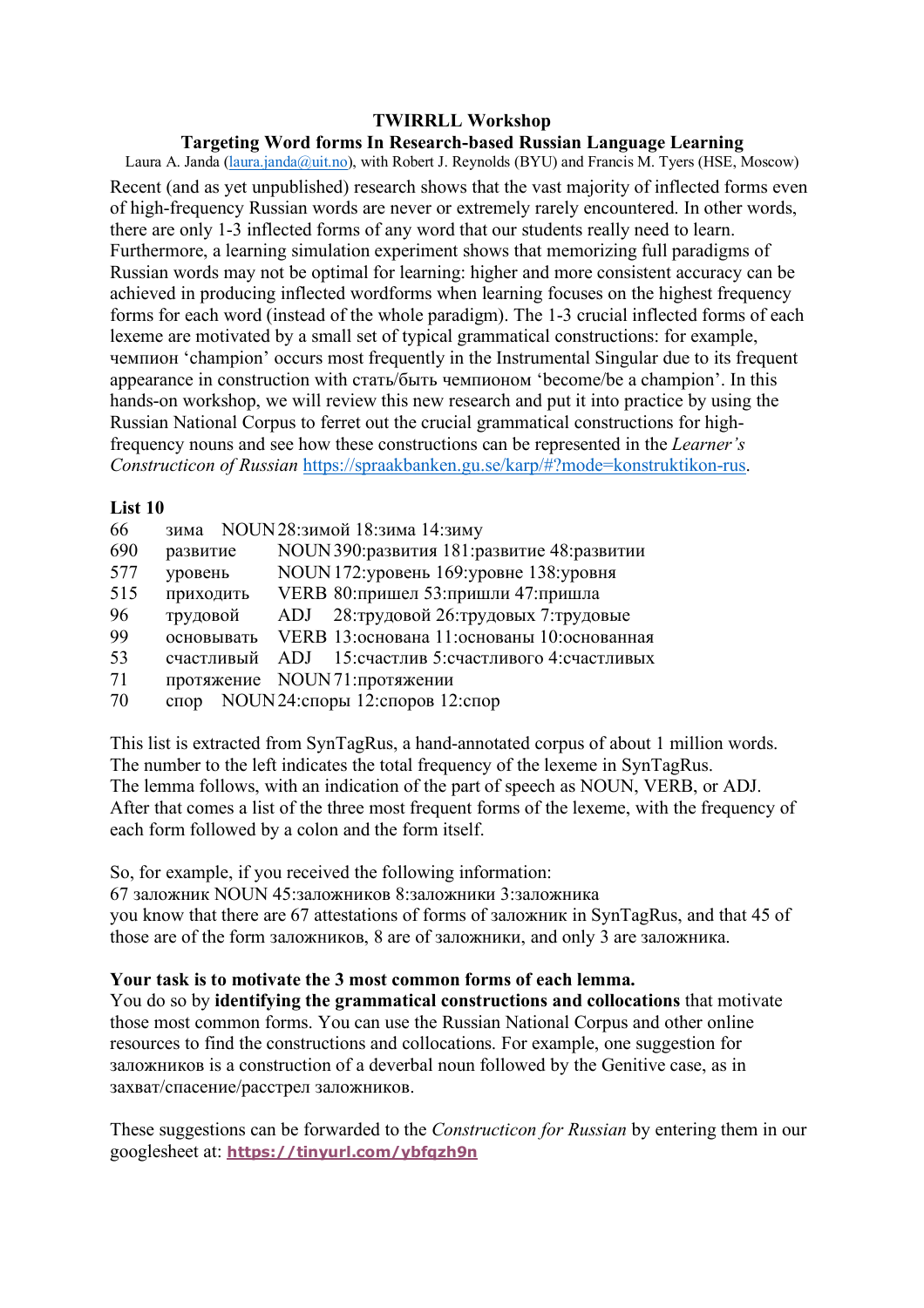## **Targeting Word forms In Research-based Russian Language Learning**

Laura A. Janda (laura.janda@uit.no), with Robert J. Reynolds (BYU) and Francis M. Tyers (HSE, Moscow) Recent (and as yet unpublished) research shows that the vast majority of inflected forms even of high-frequency Russian words are never or extremely rarely encountered. In other words, there are only 1-3 inflected forms of any word that our students really need to learn. Furthermore, a learning simulation experiment shows that memorizing full paradigms of Russian words may not be optimal for learning: higher and more consistent accuracy can be achieved in producing inflected wordforms when learning focuses on the highest frequency forms for each word (instead of the whole paradigm). The 1-3 crucial inflected forms of each lexeme are motivated by a small set of typical grammatical constructions: for example, чемпион 'champion' occurs most frequently in the Instrumental Singular due to its frequent appearance in construction with стать/быть чемпионом 'become/be a champion'. In this hands-on workshop, we will review this new research and put it into practice by using the Russian National Corpus to ferret out the crucial grammatical constructions for highfrequency nouns and see how these constructions can be represented in the *Learner's Constructicon of Russian* https://spraakbanken.gu.se/karp/#?mode=konstruktikon-rus.

#### **List 10**

| 66  |               | зима NOUN28: зимой 18: зима 14: зиму          |
|-----|---------------|-----------------------------------------------|
| 690 | развитие      | NOUN 390: развития 181: развитие 48: развитии |
| 577 | уровень       | NOUN 172: уровень 169: уровне 138: уровня     |
| 515 | приходить     | VERB 80: пришел 53: пришли 47: пришла         |
| 96  | трудовой      | ADJ 28: трудовой 26: трудовых 7: трудовые     |
| 99  | основывать    | VERB 13: основана 11: основаны 10: основанная |
| 53  | счастливый    | ADJ 15: счастлив 5: счастливого 4: счастливых |
| 71  |               | протяжение NOUN71:протяжении                  |
| 70  | $C \Pi$ O $D$ | NOUN 24: споры 12: споров 12: спор            |
|     |               |                                               |

This list is extracted from SynTagRus, a hand-annotated corpus of about 1 million words. The number to the left indicates the total frequency of the lexeme in SynTagRus. The lemma follows, with an indication of the part of speech as NOUN, VERB, or ADJ. After that comes a list of the three most frequent forms of the lexeme, with the frequency of each form followed by a colon and the form itself.

So, for example, if you received the following information:

67 заложник NOUN 45:заложников 8:заложники 3:заложника you know that there are 67 attestations of forms of заложник in SynTagRus, and that 45 of those are of the form заложников, 8 are of заложники, and only 3 are заложника.

# **Your task is to motivate the 3 most common forms of each lemma.**

You do so by **identifying the grammatical constructions and collocations** that motivate those most common forms. You can use the Russian National Corpus and other online resources to find the constructions and collocations. For example, one suggestion for заложников is a construction of a deverbal noun followed by the Genitive case, as in захват/спасение/расстрел заложников.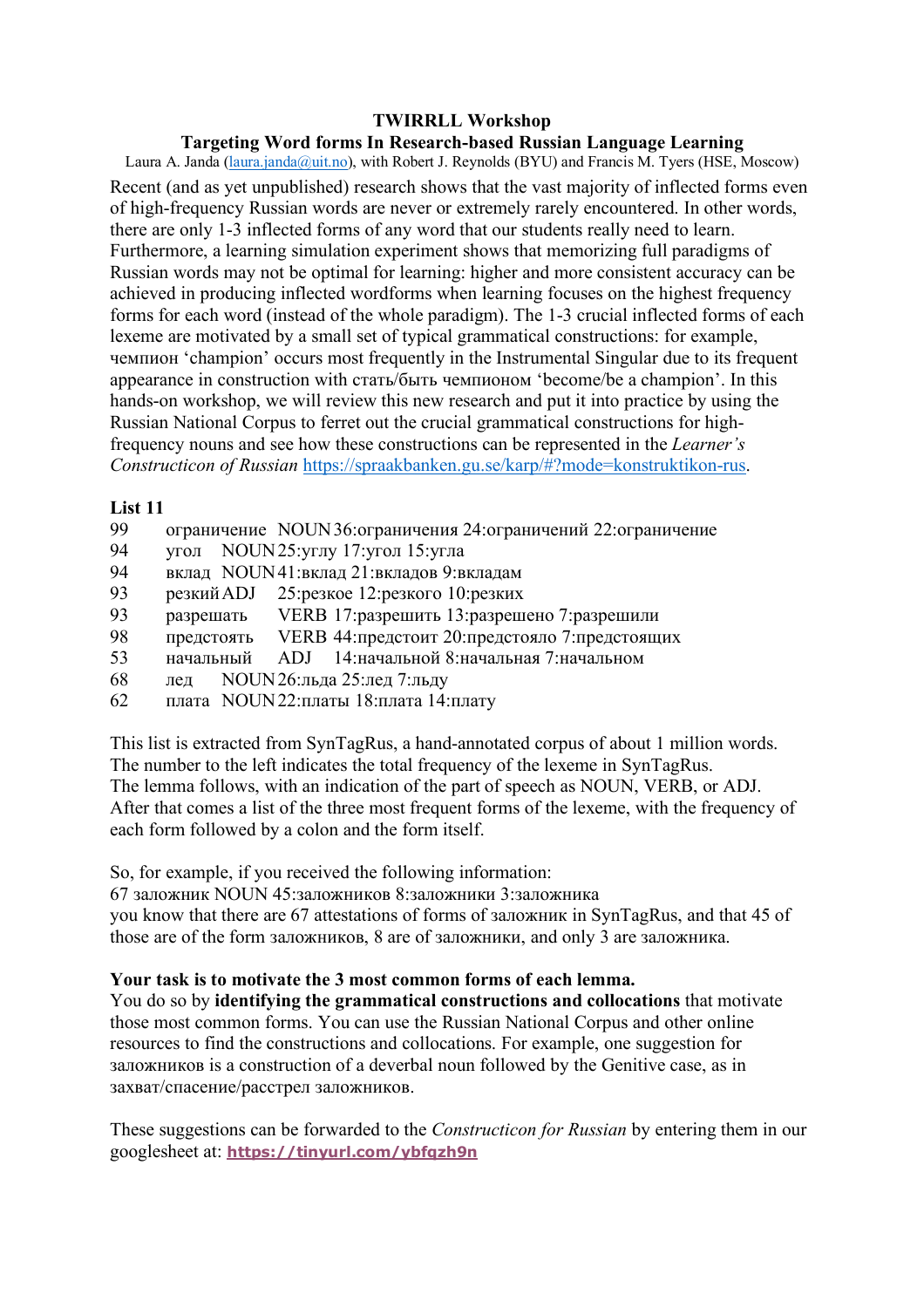## **Targeting Word forms In Research-based Russian Language Learning**

Laura A. Janda (laura.janda@uit.no), with Robert J. Reynolds (BYU) and Francis M. Tyers (HSE, Moscow) Recent (and as yet unpublished) research shows that the vast majority of inflected forms even of high-frequency Russian words are never or extremely rarely encountered. In other words, there are only 1-3 inflected forms of any word that our students really need to learn. Furthermore, a learning simulation experiment shows that memorizing full paradigms of Russian words may not be optimal for learning: higher and more consistent accuracy can be achieved in producing inflected wordforms when learning focuses on the highest frequency forms for each word (instead of the whole paradigm). The 1-3 crucial inflected forms of each lexeme are motivated by a small set of typical grammatical constructions: for example, чемпион 'champion' occurs most frequently in the Instrumental Singular due to its frequent appearance in construction with стать/быть чемпионом 'become/be a champion'. In this hands-on workshop, we will review this new research and put it into practice by using the Russian National Corpus to ferret out the crucial grammatical constructions for highfrequency nouns and see how these constructions can be represented in the *Learner's Constructicon of Russian* https://spraakbanken.gu.se/karp/#?mode=konstruktikon-rus.

## **List 11**

- 99 ограничение NOUN36:ограничения 24:ограничений 22:ограничение
- угол NOUN25: углу 17: угол 15: угла
- 94 вклад NOUN41:вклад 21:вкладов 9:вкладам
- 93 резкийADJ 25:резкое 12:резкого 10:резких
- 93 разрешать VERB 17:разрешить 13:разрешено 7:разрешили
- 98 предстоять VERB 44:предстоит 20:предстояло 7:предстоящих
- 53 начальный ADJ 14:начальной 8:начальная 7:начальном
- 68 лед NOUN26:льда 25:лед 7:льду
- 62 плата NOUN22:платы 18:плата 14:плату

This list is extracted from SynTagRus, a hand-annotated corpus of about 1 million words. The number to the left indicates the total frequency of the lexeme in SynTagRus. The lemma follows, with an indication of the part of speech as NOUN, VERB, or ADJ. After that comes a list of the three most frequent forms of the lexeme, with the frequency of each form followed by a colon and the form itself.

So, for example, if you received the following information:

67 заложник NOUN 45:заложников 8:заложники 3:заложника you know that there are 67 attestations of forms of заложник in SynTagRus, and that 45 of those are of the form заложников, 8 are of заложники, and only 3 are заложника.

# **Your task is to motivate the 3 most common forms of each lemma.**

You do so by **identifying the grammatical constructions and collocations** that motivate those most common forms. You can use the Russian National Corpus and other online resources to find the constructions and collocations. For example, one suggestion for заложников is a construction of a deverbal noun followed by the Genitive case, as in захват/спасение/расстрел заложников.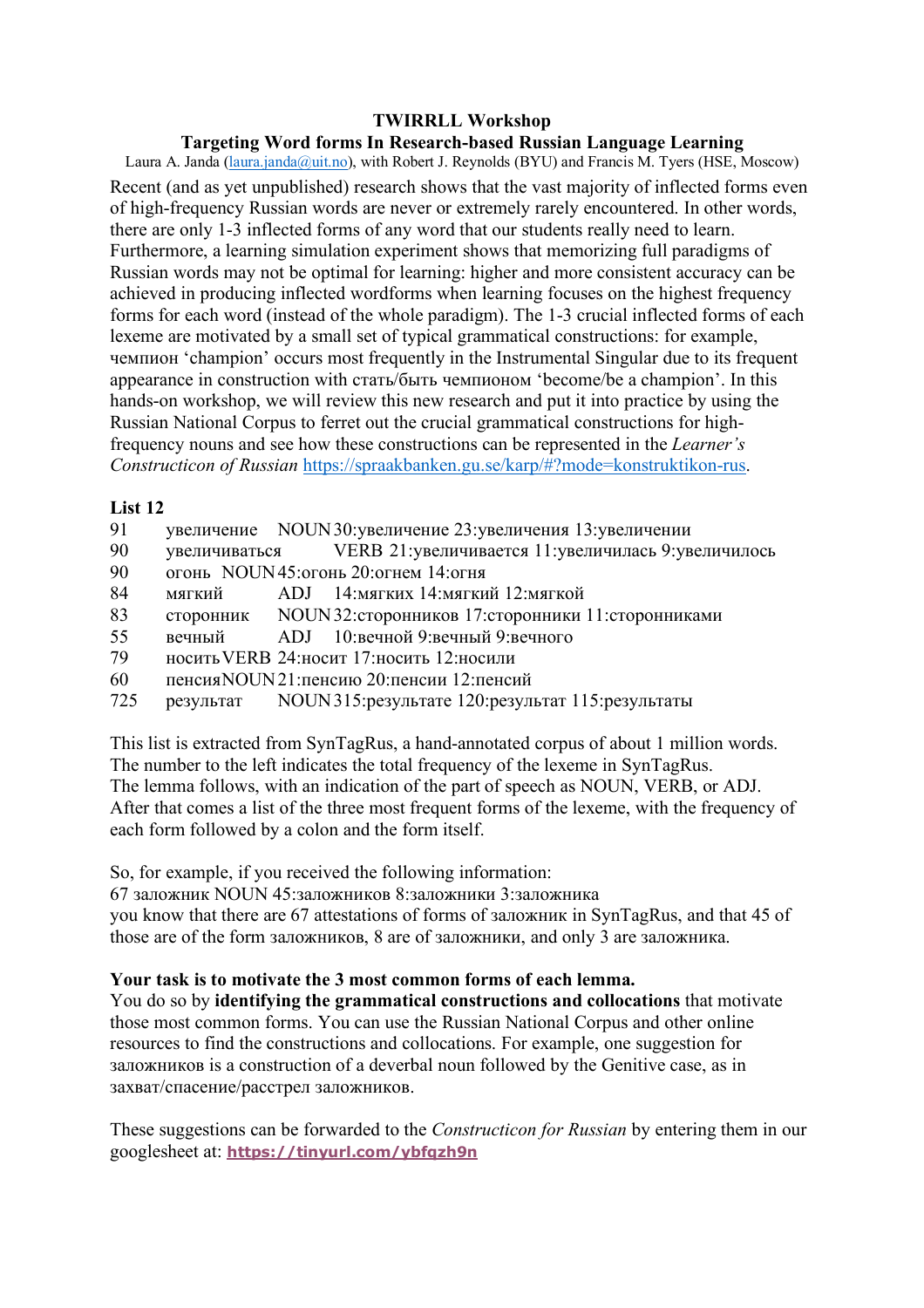## **Targeting Word forms In Research-based Russian Language Learning**

Laura A. Janda (laura.janda@uit.no), with Robert J. Reynolds (BYU) and Francis M. Tyers (HSE, Moscow) Recent (and as yet unpublished) research shows that the vast majority of inflected forms even of high-frequency Russian words are never or extremely rarely encountered. In other words, there are only 1-3 inflected forms of any word that our students really need to learn. Furthermore, a learning simulation experiment shows that memorizing full paradigms of Russian words may not be optimal for learning: higher and more consistent accuracy can be achieved in producing inflected wordforms when learning focuses on the highest frequency forms for each word (instead of the whole paradigm). The 1-3 crucial inflected forms of each lexeme are motivated by a small set of typical grammatical constructions: for example, чемпион 'champion' occurs most frequently in the Instrumental Singular due to its frequent appearance in construction with стать/быть чемпионом 'become/be a champion'. In this hands-on workshop, we will review this new research and put it into practice by using the Russian National Corpus to ferret out the crucial grammatical constructions for highfrequency nouns and see how these constructions can be represented in the *Learner's Constructicon of Russian* https://spraakbanken.gu.se/karp/#?mode=konstruktikon-rus.

## **List 12**

- 91 увеличение NOUN30:увеличение 23:увеличения 13:увеличении
- 90 увеличиваться VERB 21:увеличивается 11:увеличилась 9:увеличилось
- 90 огонь NOUN45:огонь 20:огнем 14:огня
- 84 мягкий ADJ 14:мягких 14:мягкий 12:мягкой
- 83 сторонник NOUN32:сторонников 17:сторонники 11:сторонниками
- 55 вечный ADJ 10:вечной 9:вечный 9:вечного
- 79 носитьVERB 24:носит 17:носить 12:носили
- 60 пенсияNOUN21:пенсию 20:пенсии 12:пенсий
- 725 результат NOUN315:результате 120:результат 115:результаты

This list is extracted from SynTagRus, a hand-annotated corpus of about 1 million words. The number to the left indicates the total frequency of the lexeme in SynTagRus. The lemma follows, with an indication of the part of speech as NOUN, VERB, or ADJ. After that comes a list of the three most frequent forms of the lexeme, with the frequency of each form followed by a colon and the form itself.

So, for example, if you received the following information:

67 заложник NOUN 45:заложников 8:заложники 3:заложника you know that there are 67 attestations of forms of заложник in SynTagRus, and that 45 of those are of the form заложников, 8 are of заложники, and only 3 are заложника.

# **Your task is to motivate the 3 most common forms of each lemma.**

You do so by **identifying the grammatical constructions and collocations** that motivate those most common forms. You can use the Russian National Corpus and other online resources to find the constructions and collocations. For example, one suggestion for заложников is a construction of a deverbal noun followed by the Genitive case, as in захват/спасение/расстрел заложников.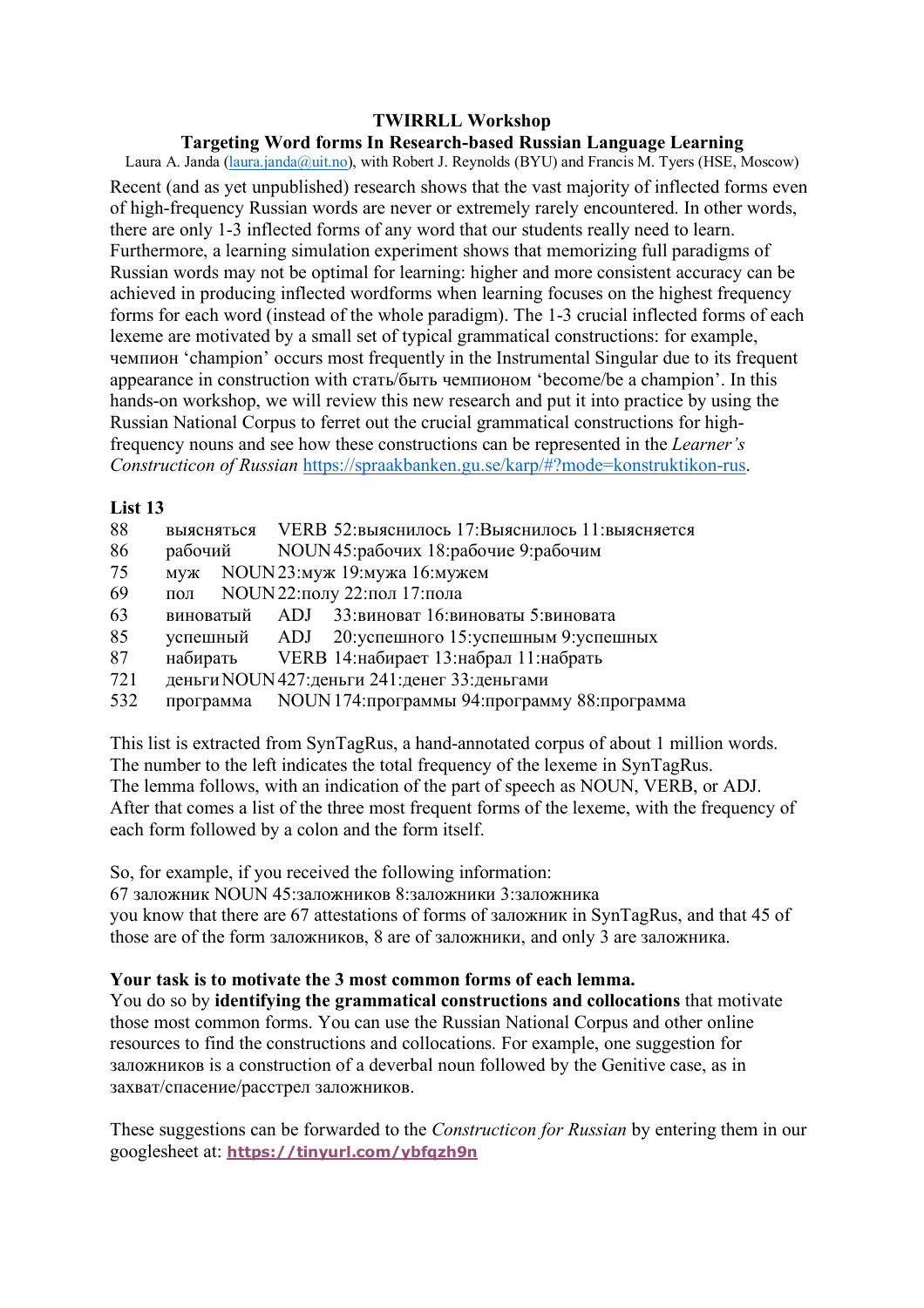## Targeting Word forms In Research-based Russian Language Learning

Laura A. Janda (laura.janda@uit.no), with Robert J. Reynolds (BYU) and Francis M. Tyers (HSE, Moscow) Recent (and as vet unpublished) research shows that the vast majority of inflected forms even of high-frequency Russian words are never or extremely rarely encountered. In other words, there are only 1-3 inflected forms of any word that our students really need to learn. Furthermore, a learning simulation experiment shows that memorizing full paradigms of Russian words may not be optimal for learning: higher and more consistent accuracy can be achieved in producing inflected wordforms when learning focuses on the highest frequency forms for each word (instead of the whole paradigm). The 1-3 crucial inflected forms of each lexeme are motivated by a small set of typical grammatical constructions: for example, чемпион 'champion' occurs most frequently in the Instrumental Singular due to its frequent appearance in construction with стать/быть чемпионом 'become/be a champion'. In this hands-on workshop, we will review this new research and put it into practice by using the Russian National Corpus to ferret out the crucial grammatical constructions for highfrequency nouns and see how these constructions can be represented in the *Learner's* Constructicon of Russian https://spraakbanken.gu.se/karp/#?mode=konstruktikon-rus.

## List<sub>13</sub>

- 88 выясняться VERB 52: выяснилось 17: Выяснилось 11: выясняется
- 86 рабочий NOUN45: рабочих 18: рабочие 9: рабочим
- 75 NOUN23: муж 19: мужа 16: мужем  $MVM$
- NOUN 22: полу 22: пол 17: пола 69 пол
- 63 ADJ 33: виноват 16: виноваты 5: виновата виноватый
- 85 20: успешного 15: успешным 9: успешных успешный  $ADJ$
- 87 VERB 14: набирает 13: набрал 11: набрать набирать
- 721 деньги NOUN 427: деньги 241: денег 33: деньгами
- 532 NOUN 174: программы 94: программу 88: программа программа

This list is extracted from SynTagRus, a hand-annotated corpus of about 1 million words. The number to the left indicates the total frequency of the lexeme in SynTagRus. The lemma follows, with an indication of the part of speech as NOUN, VERB, or ADJ. After that comes a list of the three most frequent forms of the lexeme, with the frequency of each form followed by a colon and the form itself.

So, for example, if you received the following information:

67 заложник NOUN 45:заложников 8:заложники 3:заложника you know that there are 67 attestations of forms of заложник in SynTagRus, and that 45 of those are of the form заложников, 8 are of заложники, and only 3 are заложника.

# Your task is to motivate the 3 most common forms of each lemma.

You do so by **identifying the grammatical constructions and collocations** that motivate those most common forms. You can use the Russian National Corpus and other online resources to find the constructions and collocations. For example, one suggestion for заложников is a construction of a deverbal noun followed by the Genitive case, as in захват/спасение/расстрел заложников.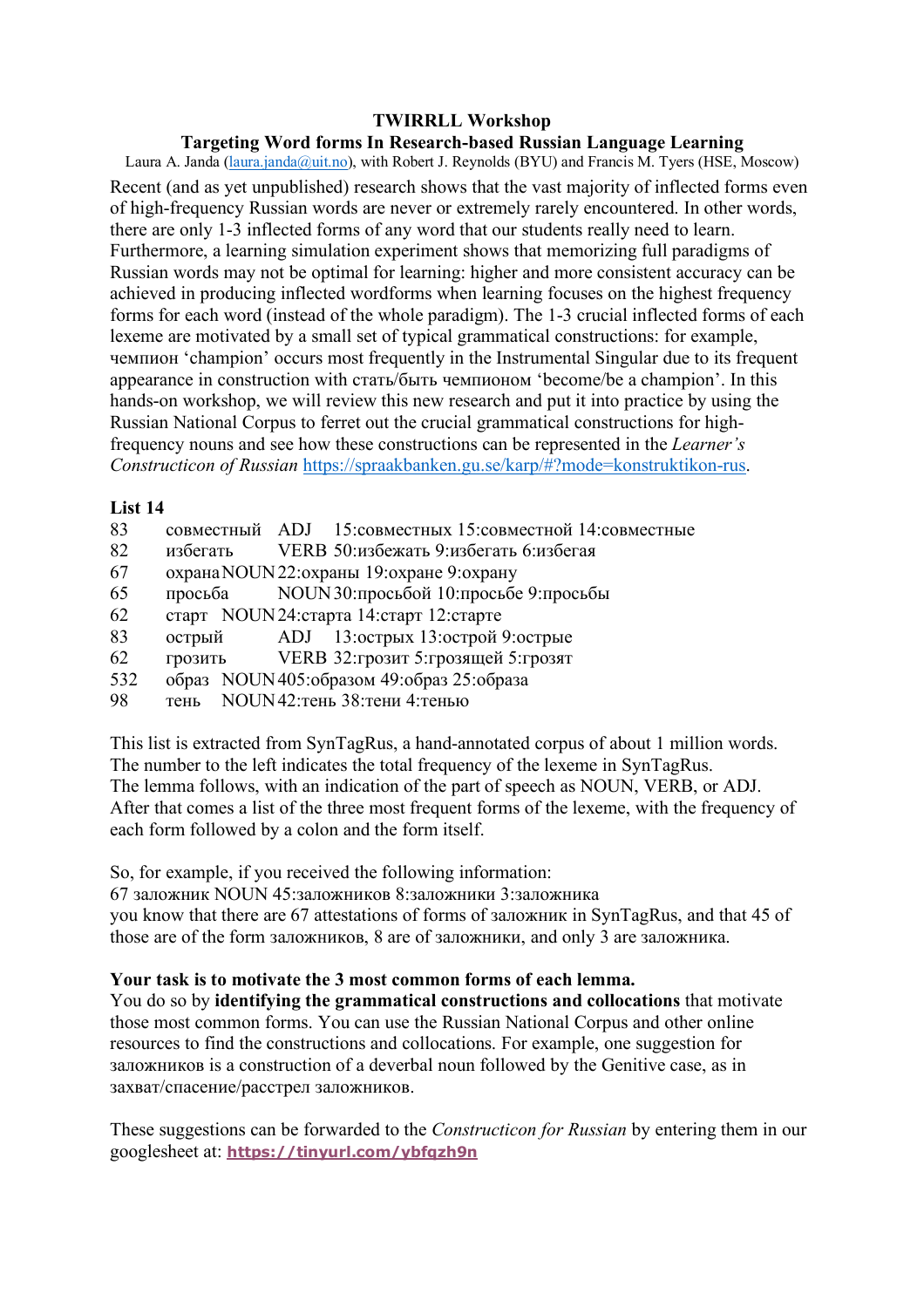## Targeting Word forms In Research-based Russian Language Learning

Laura A. Janda (laura.janda@uit.no), with Robert J. Reynolds (BYU) and Francis M. Tyers (HSE, Moscow) Recent (and as vet unpublished) research shows that the vast majority of inflected forms even of high-frequency Russian words are never or extremely rarely encountered. In other words, there are only 1-3 inflected forms of any word that our students really need to learn. Furthermore, a learning simulation experiment shows that memorizing full paradigms of Russian words may not be optimal for learning: higher and more consistent accuracy can be achieved in producing inflected wordforms when learning focuses on the highest frequency forms for each word (instead of the whole paradigm). The 1-3 crucial inflected forms of each lexeme are motivated by a small set of typical grammatical constructions: for example, чемпион 'champion' occurs most frequently in the Instrumental Singular due to its frequent appearance in construction with стать/быть чемпионом 'become/be a champion'. In this hands-on workshop, we will review this new research and put it into practice by using the Russian National Corpus to ferret out the crucial grammatical constructions for highfrequency nouns and see how these constructions can be represented in the *Learner's* Constructicon of Russian https://spraakbanken.gu.se/karp/#?mode=konstruktikon-rus.

## List 14

- 15: совместных 15: совместной 14: совместные 83 совместный ADJ
- 82 избегать VERB 50:избежать 9:избегать 6:избегая
- охрана NOUN 22: охраны 19: охране 9: охрану 67
- NOUN 30: просьбой 10: просьбе 9: просьбы 65 просьба
- старт NOUN24: старта 14: старт 12: старте 62
- 83 13:острых 13:острой 9:острые острый  $ADJ$
- 62 VERB 32:грозит 5:грозящей 5:грозят **ГРОЗИТЬ**
- 532 образ NOUN405: образом 49: образ 25: образа
- тень NOUN42: тень 38: тени 4: тенью 98

This list is extracted from SynTagRus, a hand-annotated corpus of about 1 million words. The number to the left indicates the total frequency of the lexeme in SynTagRus. The lemma follows, with an indication of the part of speech as NOUN, VERB, or ADJ. After that comes a list of the three most frequent forms of the lexeme, with the frequency of each form followed by a colon and the form itself.

So, for example, if you received the following information:

67 заложник NOUN 45:заложников 8:заложники 3:заложника you know that there are 67 attestations of forms of заложник in SynTagRus, and that 45 of those are of the form заложников, 8 are of заложники, and only 3 are заложника.

# Your task is to motivate the 3 most common forms of each lemma.

You do so by **identifying the grammatical constructions and collocations** that motivate those most common forms. You can use the Russian National Corpus and other online resources to find the constructions and collocations. For example, one suggestion for заложников is a construction of a deverbal noun followed by the Genitive case, as in захват/спасение/расстрел заложников.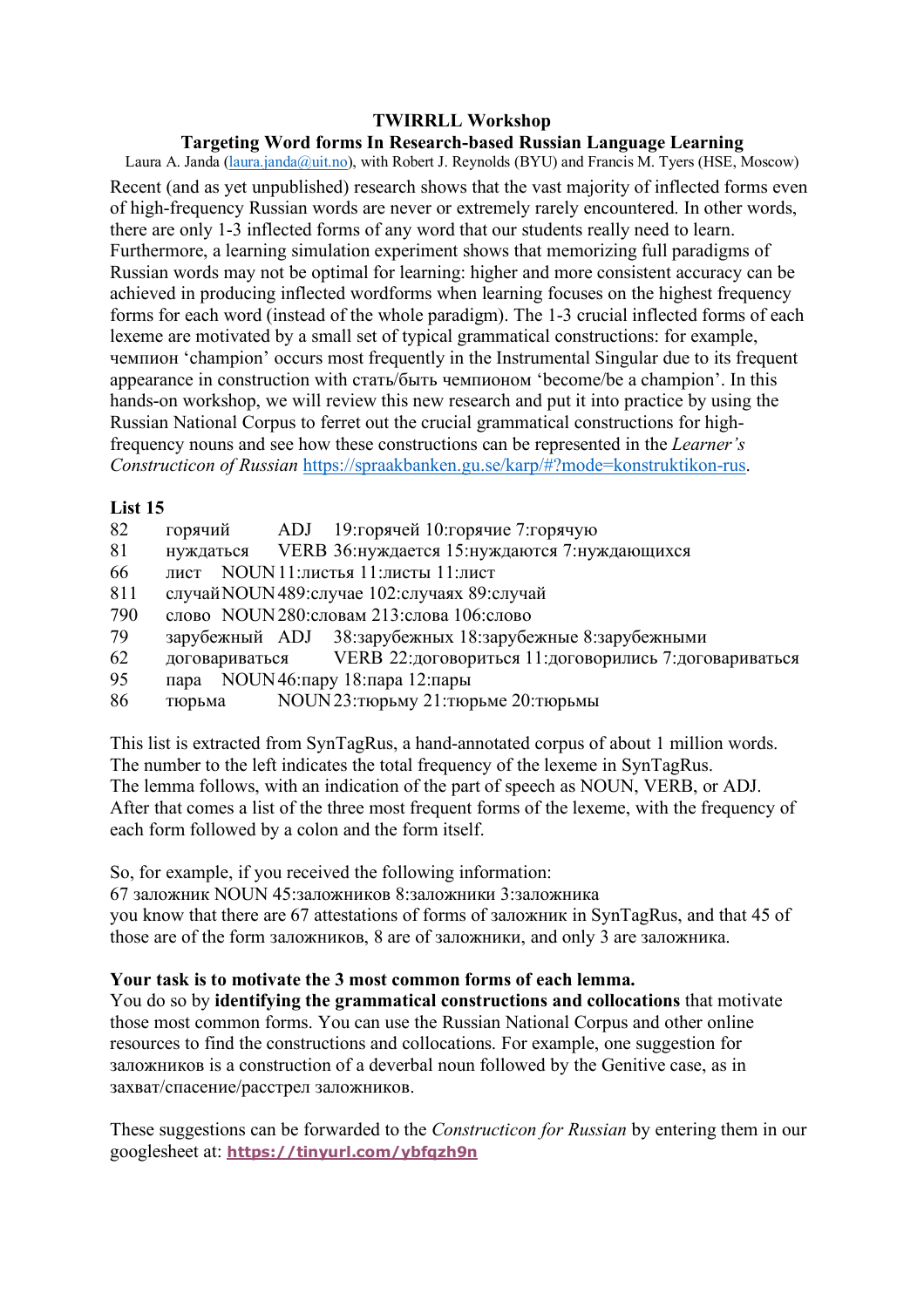## **Targeting Word forms In Research-based Russian Language Learning**

Laura A. Janda (laura.janda@uit.no), with Robert J. Reynolds (BYU) and Francis M. Tyers (HSE, Moscow) Recent (and as yet unpublished) research shows that the vast majority of inflected forms even of high-frequency Russian words are never or extremely rarely encountered. In other words, there are only 1-3 inflected forms of any word that our students really need to learn. Furthermore, a learning simulation experiment shows that memorizing full paradigms of Russian words may not be optimal for learning: higher and more consistent accuracy can be achieved in producing inflected wordforms when learning focuses on the highest frequency forms for each word (instead of the whole paradigm). The 1-3 crucial inflected forms of each lexeme are motivated by a small set of typical grammatical constructions: for example, чемпион 'champion' occurs most frequently in the Instrumental Singular due to its frequent appearance in construction with стать/быть чемпионом 'become/be a champion'. In this hands-on workshop, we will review this new research and put it into practice by using the Russian National Corpus to ferret out the crucial grammatical constructions for highfrequency nouns and see how these constructions can be represented in the *Learner's Constructicon of Russian* https://spraakbanken.gu.se/karp/#?mode=konstruktikon-rus.

## **List 15**

| 82  | горячий        | ADJ 19: горячей 10: горячие 7: горячую                   |
|-----|----------------|----------------------------------------------------------|
| 81  | нуждаться      | VERB 36: нуждается 15: нуждаются 7: нуждающихся          |
| 66  | лист           | NOUN 11: листья 11: листы 11: лист                       |
| 811 |                | случай NOUN 489: случае 102: случаях 89: случай          |
| 790 |                | слово NOUN280: словам 213: слова 106: слово              |
| 79  |                | зарубежный ADJ 38:зарубежных 18:зарубежные 8:зарубежными |
| 62  | договариваться | VERB 22: договориться 11: договорились 7: договариваться |
| 95  |                | пара NOUN46: пару 18: пара 12: пары                      |
| 86  | тюрьма         | NOUN 23: тюрьму 21: тюрьме 20: тюрьмы                    |

This list is extracted from SynTagRus, a hand-annotated corpus of about 1 million words. The number to the left indicates the total frequency of the lexeme in SynTagRus. The lemma follows, with an indication of the part of speech as NOUN, VERB, or ADJ. After that comes a list of the three most frequent forms of the lexeme, with the frequency of each form followed by a colon and the form itself.

So, for example, if you received the following information:

67 заложник NOUN 45:заложников 8:заложники 3:заложника you know that there are 67 attestations of forms of заложник in SynTagRus, and that 45 of those are of the form заложников, 8 are of заложники, and only 3 are заложника.

# **Your task is to motivate the 3 most common forms of each lemma.**

You do so by **identifying the grammatical constructions and collocations** that motivate those most common forms. You can use the Russian National Corpus and other online resources to find the constructions and collocations. For example, one suggestion for заложников is a construction of a deverbal noun followed by the Genitive case, as in захват/спасение/расстрел заложников.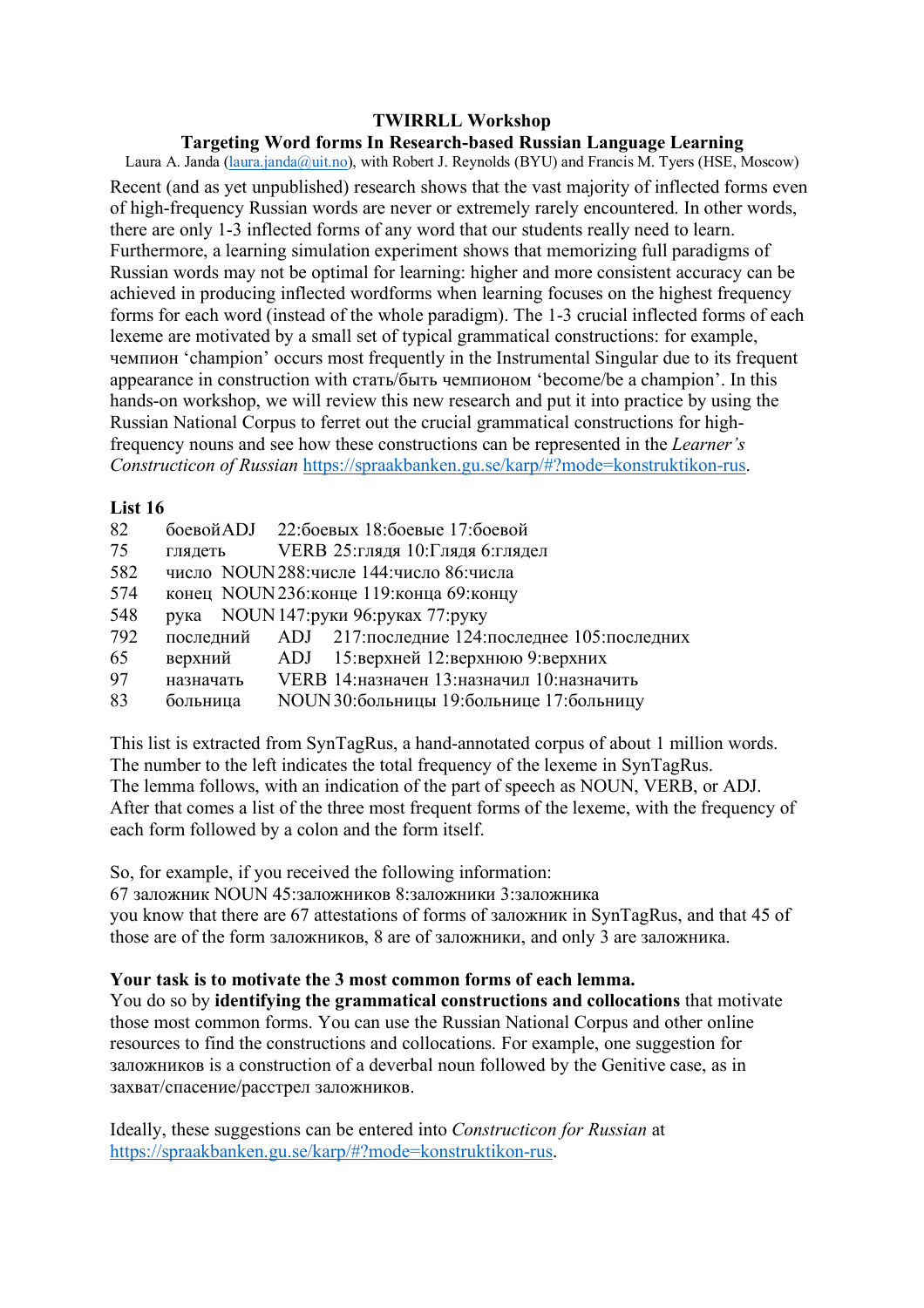## **Targeting Word forms In Research-based Russian Language Learning**

Laura A. Janda (laura.janda@uit.no), with Robert J. Reynolds (BYU) and Francis M. Tyers (HSE, Moscow) Recent (and as yet unpublished) research shows that the vast majority of inflected forms even of high-frequency Russian words are never or extremely rarely encountered. In other words, there are only 1-3 inflected forms of any word that our students really need to learn. Furthermore, a learning simulation experiment shows that memorizing full paradigms of Russian words may not be optimal for learning: higher and more consistent accuracy can be achieved in producing inflected wordforms when learning focuses on the highest frequency forms for each word (instead of the whole paradigm). The 1-3 crucial inflected forms of each lexeme are motivated by a small set of typical grammatical constructions: for example, чемпион 'champion' occurs most frequently in the Instrumental Singular due to its frequent appearance in construction with стать/быть чемпионом 'become/be a champion'. In this hands-on workshop, we will review this new research and put it into practice by using the Russian National Corpus to ferret out the crucial grammatical constructions for highfrequency nouns and see how these constructions can be represented in the *Learner's Constructicon of Russian* https://spraakbanken.gu.se/karp/#?mode=konstruktikon-rus.

## **List 16**

|           | боевой ADJ 22: боевых 18: боевые 17: боевой                |
|-----------|------------------------------------------------------------|
| глядеть   | VERB 25:глядя 10:Глядя 6:глядел                            |
|           | число NOUN 288: числе 144: число 86: числа                 |
|           | конец NOUN236: конце 119: конца 69: концу                  |
|           | рука NOUN 147: руки 96: руках 77: руку                     |
|           | последний ADJ 217: последние 124: последнее 105: последних |
| верхний   | ADJ 15: верхней 12: верхнюю 9: верхних                     |
| назначать | VERB 14: назначен 13: назначил 10: назначить               |
| больница  | NOUN 30: больницы 19: больнице 17: больницу                |
|           |                                                            |

This list is extracted from SynTagRus, a hand-annotated corpus of about 1 million words. The number to the left indicates the total frequency of the lexeme in SynTagRus. The lemma follows, with an indication of the part of speech as NOUN, VERB, or ADJ. After that comes a list of the three most frequent forms of the lexeme, with the frequency of each form followed by a colon and the form itself.

So, for example, if you received the following information:

67 заложник NOUN 45:заложников 8:заложники 3:заложника you know that there are 67 attestations of forms of заложник in SynTagRus, and that 45 of those are of the form заложников, 8 are of заложники, and only 3 are заложника.

# **Your task is to motivate the 3 most common forms of each lemma.**

You do so by **identifying the grammatical constructions and collocations** that motivate those most common forms. You can use the Russian National Corpus and other online resources to find the constructions and collocations. For example, one suggestion for заложников is a construction of a deverbal noun followed by the Genitive case, as in захват/спасение/расстрел заложников.

Ideally, these suggestions can be entered into *Constructicon for Russian* at https://spraakbanken.gu.se/karp/#?mode=konstruktikon-rus.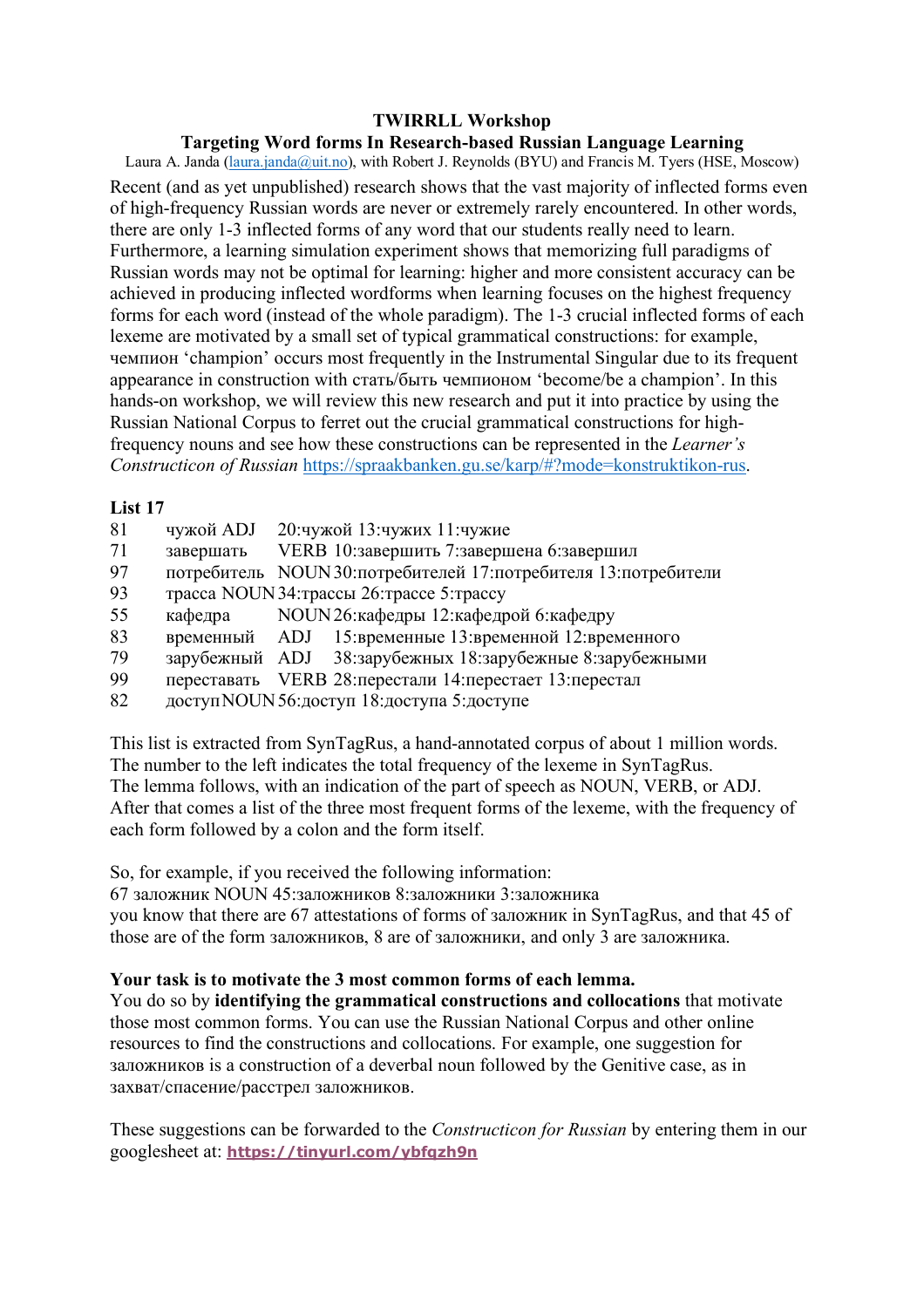## **Targeting Word forms In Research-based Russian Language Learning**

Laura A. Janda (laura.janda@uit.no), with Robert J. Reynolds (BYU) and Francis M. Tyers (HSE, Moscow) Recent (and as yet unpublished) research shows that the vast majority of inflected forms even of high-frequency Russian words are never or extremely rarely encountered. In other words, there are only 1-3 inflected forms of any word that our students really need to learn. Furthermore, a learning simulation experiment shows that memorizing full paradigms of Russian words may not be optimal for learning: higher and more consistent accuracy can be achieved in producing inflected wordforms when learning focuses on the highest frequency forms for each word (instead of the whole paradigm). The 1-3 crucial inflected forms of each lexeme are motivated by a small set of typical grammatical constructions: for example, чемпион 'champion' occurs most frequently in the Instrumental Singular due to its frequent appearance in construction with стать/быть чемпионом 'become/be a champion'. In this hands-on workshop, we will review this new research and put it into practice by using the Russian National Corpus to ferret out the crucial grammatical constructions for highfrequency nouns and see how these constructions can be represented in the *Learner's Constructicon of Russian* https://spraakbanken.gu.se/karp/#?mode=konstruktikon-rus.

## **List 17**

| 81 | чужой ADJ | 20: чужой 13: чужих 11: чужие                                    |
|----|-----------|------------------------------------------------------------------|
| 71 | завершать | VERB 10:завершить 7:завершена 6:завершил                         |
| 97 |           | потребитель NOUN30: потребителей 17: потребителя 13: потребители |
| 93 |           | трасса NOUN 34: трассы 26: трассе 5: трассу                      |
| 55 | кафедра   | NOUN 26: кафедры 12: кафедрой 6: кафедру                         |
| 83 |           | временный ADJ 15:временные 13:временной 12:временного            |
| 79 |           | зарубежный ADJ 38:зарубежных 18:зарубежные 8:зарубежными         |
| 99 |           | переставать VERB 28: перестали 14: перестает 13: перестал        |
| 82 |           | доступ NOUN 56: доступ 18: доступа 5: доступе                    |
|    |           |                                                                  |

This list is extracted from SynTagRus, a hand-annotated corpus of about 1 million words. The number to the left indicates the total frequency of the lexeme in SynTagRus. The lemma follows, with an indication of the part of speech as NOUN, VERB, or ADJ. After that comes a list of the three most frequent forms of the lexeme, with the frequency of each form followed by a colon and the form itself.

So, for example, if you received the following information:

67 заложник NOUN 45:заложников 8:заложники 3:заложника you know that there are 67 attestations of forms of заложник in SynTagRus, and that 45 of those are of the form заложников, 8 are of заложники, and only 3 are заложника.

# **Your task is to motivate the 3 most common forms of each lemma.**

You do so by **identifying the grammatical constructions and collocations** that motivate those most common forms. You can use the Russian National Corpus and other online resources to find the constructions and collocations. For example, one suggestion for заложников is a construction of a deverbal noun followed by the Genitive case, as in захват/спасение/расстрел заложников.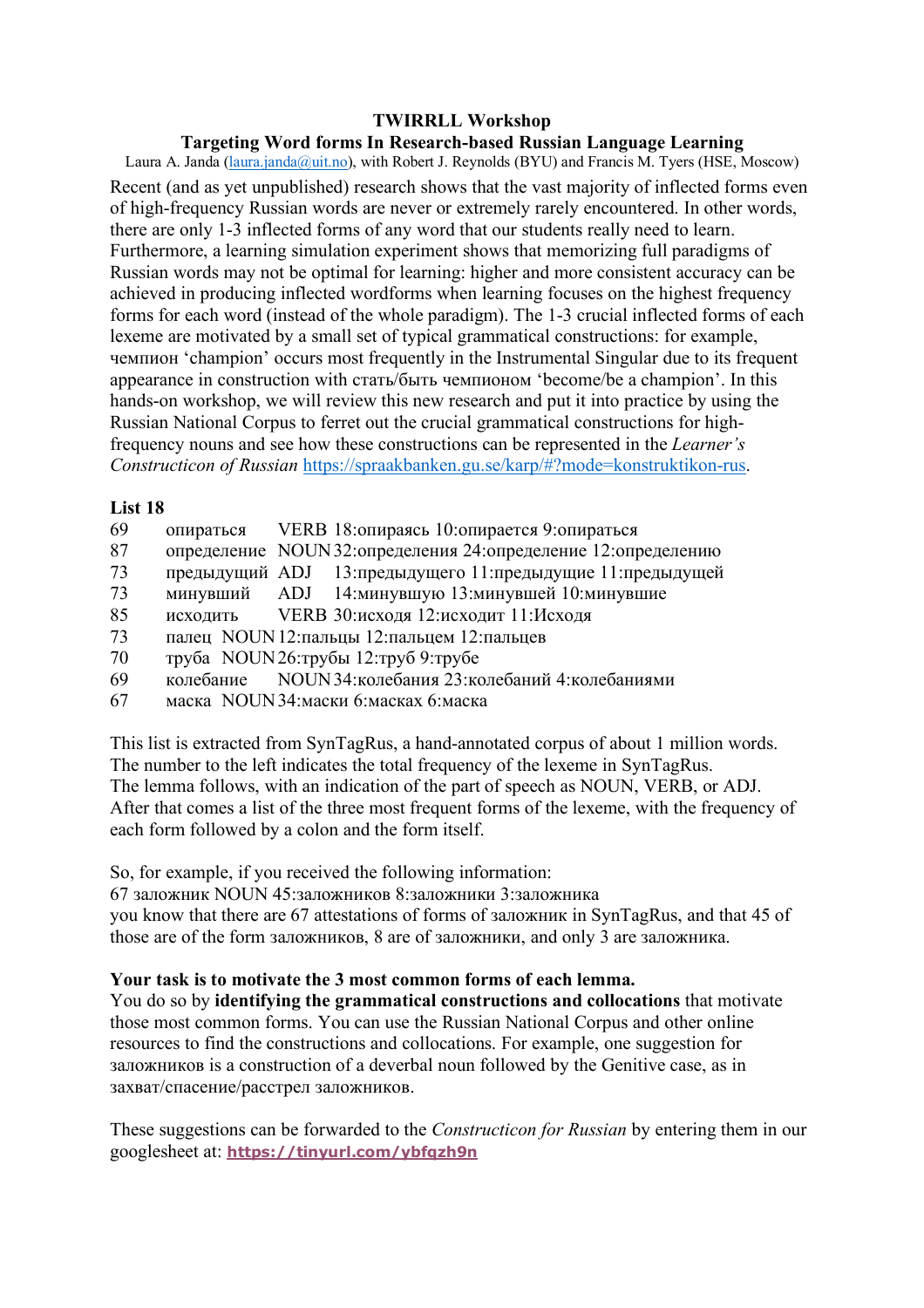## **Targeting Word forms In Research-based Russian Language Learning**

Laura A. Janda (laura.janda@uit.no), with Robert J. Reynolds (BYU) and Francis M. Tyers (HSE, Moscow) Recent (and as yet unpublished) research shows that the vast majority of inflected forms even of high-frequency Russian words are never or extremely rarely encountered. In other words, there are only 1-3 inflected forms of any word that our students really need to learn. Furthermore, a learning simulation experiment shows that memorizing full paradigms of Russian words may not be optimal for learning: higher and more consistent accuracy can be achieved in producing inflected wordforms when learning focuses on the highest frequency forms for each word (instead of the whole paradigm). The 1-3 crucial inflected forms of each lexeme are motivated by a small set of typical grammatical constructions: for example, чемпион 'champion' occurs most frequently in the Instrumental Singular due to its frequent appearance in construction with стать/быть чемпионом 'become/be a champion'. In this hands-on workshop, we will review this new research and put it into practice by using the Russian National Corpus to ferret out the crucial grammatical constructions for highfrequency nouns and see how these constructions can be represented in the *Learner's Constructicon of Russian* https://spraakbanken.gu.se/karp/#?mode=konstruktikon-rus.

## **List 18**

- 69 опираться VERB 18:опираясь 10:опирается 9:опираться
- 87 определение NOUN32:определения 24:определение 12:определению
- 73 предыдущий ADJ 13:предыдущего 11:предыдущие 11:предыдущей
- 73 минувший ADJ 14:минувшую 13:минувшей 10:минувшие
- 85 исходить VERB 30:исходя 12:исходит 11:Исходя
- 73 палец NOUN12:пальцы 12:пальцем 12:пальцев
- 70 труба NOUN26:трубы 12:труб 9:трубе
- 69 колебание NOUN34:колебания 23:колебаний 4:колебаниями
- 67 маска NOUN34:маски 6:масках 6:маска

This list is extracted from SynTagRus, a hand-annotated corpus of about 1 million words. The number to the left indicates the total frequency of the lexeme in SynTagRus. The lemma follows, with an indication of the part of speech as NOUN, VERB, or ADJ. After that comes a list of the three most frequent forms of the lexeme, with the frequency of each form followed by a colon and the form itself.

So, for example, if you received the following information:

67 заложник NOUN 45:заложников 8:заложники 3:заложника you know that there are 67 attestations of forms of заложник in SynTagRus, and that 45 of those are of the form заложников, 8 are of заложники, and only 3 are заложника.

# **Your task is to motivate the 3 most common forms of each lemma.**

You do so by **identifying the grammatical constructions and collocations** that motivate those most common forms. You can use the Russian National Corpus and other online resources to find the constructions and collocations. For example, one suggestion for заложников is a construction of a deverbal noun followed by the Genitive case, as in захват/спасение/расстрел заложников.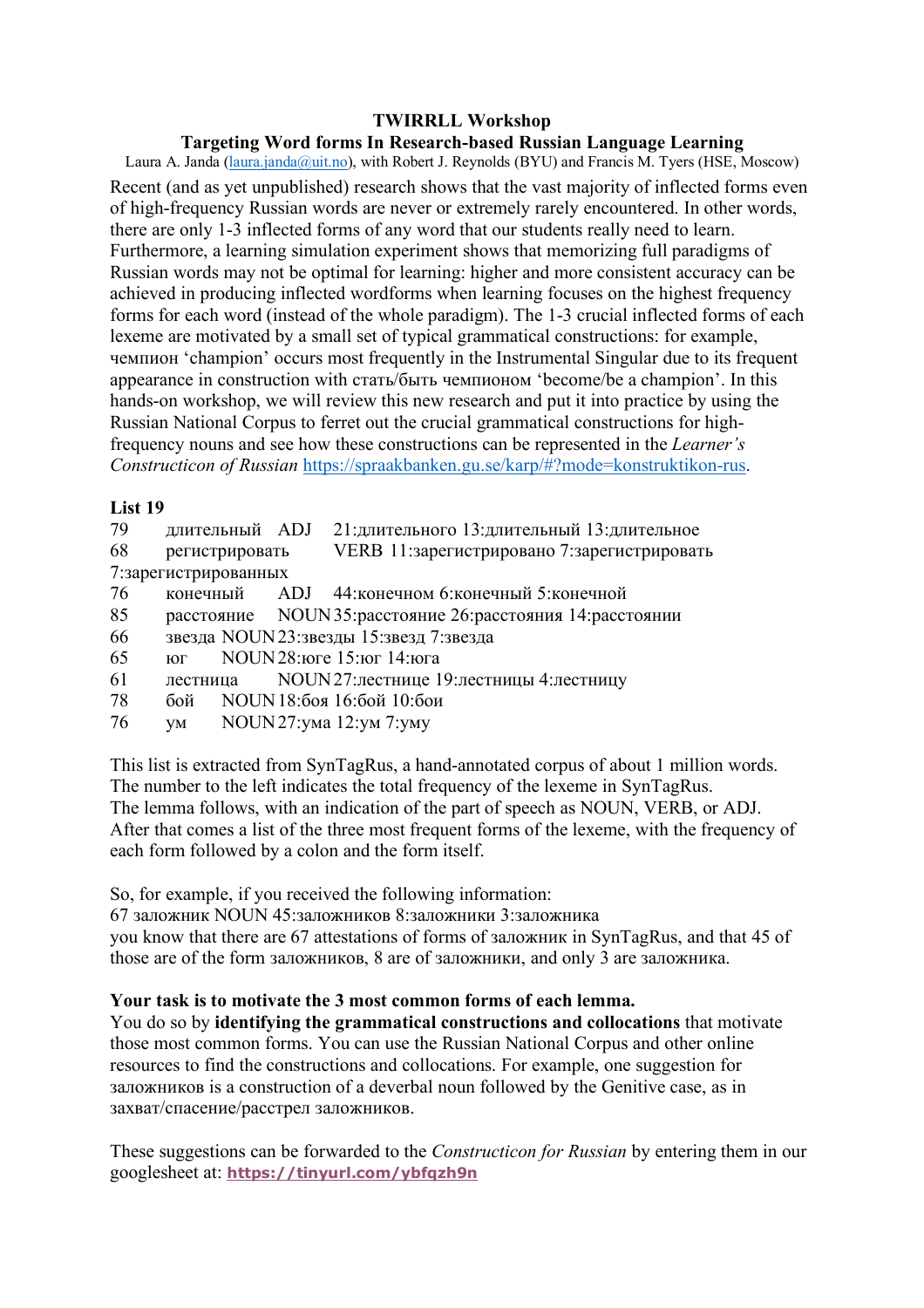## **Targeting Word forms In Research-based Russian Language Learning**

Laura A. Janda (laura.janda@uit.no), with Robert J. Reynolds (BYU) and Francis M. Tyers (HSE, Moscow) Recent (and as yet unpublished) research shows that the vast majority of inflected forms even of high-frequency Russian words are never or extremely rarely encountered. In other words, there are only 1-3 inflected forms of any word that our students really need to learn. Furthermore, a learning simulation experiment shows that memorizing full paradigms of Russian words may not be optimal for learning: higher and more consistent accuracy can be achieved in producing inflected wordforms when learning focuses on the highest frequency forms for each word (instead of the whole paradigm). The 1-3 crucial inflected forms of each lexeme are motivated by a small set of typical grammatical constructions: for example, чемпион 'champion' occurs most frequently in the Instrumental Singular due to its frequent appearance in construction with стать/быть чемпионом 'become/be a champion'. In this hands-on workshop, we will review this new research and put it into practice by using the Russian National Corpus to ferret out the crucial grammatical constructions for highfrequency nouns and see how these constructions can be represented in the *Learner's Constructicon of Russian* https://spraakbanken.gu.se/karp/#?mode=konstruktikon-rus.

## **List 19**

| 79                   |                |  | длительный ADJ 21:длительного 13:длительный 13:длительное |  |
|----------------------|----------------|--|-----------------------------------------------------------|--|
| 68                   | регистрировать |  | VERB 11:зарегистрировано 7:зарегистрировать               |  |
| 7:зарегистрированных |                |  |                                                           |  |
| 76                   | конечный       |  | ADJ 44: конечном 6: конечный 5: конечной                  |  |

- 85 расстояние NOUN35:расстояние 26:расстояния 14:расстоянии
- 66 звезда NOUN23:звезды 15:звезд 7:звезда
- 65 юг NOUN28:юге 15:юг 14:юга
- 61 лестница NOUN27:лестнице 19:лестницы 4:лестницу
- 78 бой NOUN18:боя 16:бой 10:бои
- 76 ум NOUN27:ума 12:ум 7:уму

This list is extracted from SynTagRus, a hand-annotated corpus of about 1 million words. The number to the left indicates the total frequency of the lexeme in SynTagRus. The lemma follows, with an indication of the part of speech as NOUN, VERB, or ADJ. After that comes a list of the three most frequent forms of the lexeme, with the frequency of each form followed by a colon and the form itself.

So, for example, if you received the following information:

67 заложник NOUN 45:заложников 8:заложники 3:заложника

you know that there are 67 attestations of forms of заложник in SynTagRus, and that 45 of those are of the form заложников, 8 are of заложники, and only 3 are заложника.

# **Your task is to motivate the 3 most common forms of each lemma.**

You do so by **identifying the grammatical constructions and collocations** that motivate those most common forms. You can use the Russian National Corpus and other online resources to find the constructions and collocations. For example, one suggestion for заложников is a construction of a deverbal noun followed by the Genitive case, as in захват/спасение/расстрел заложников.